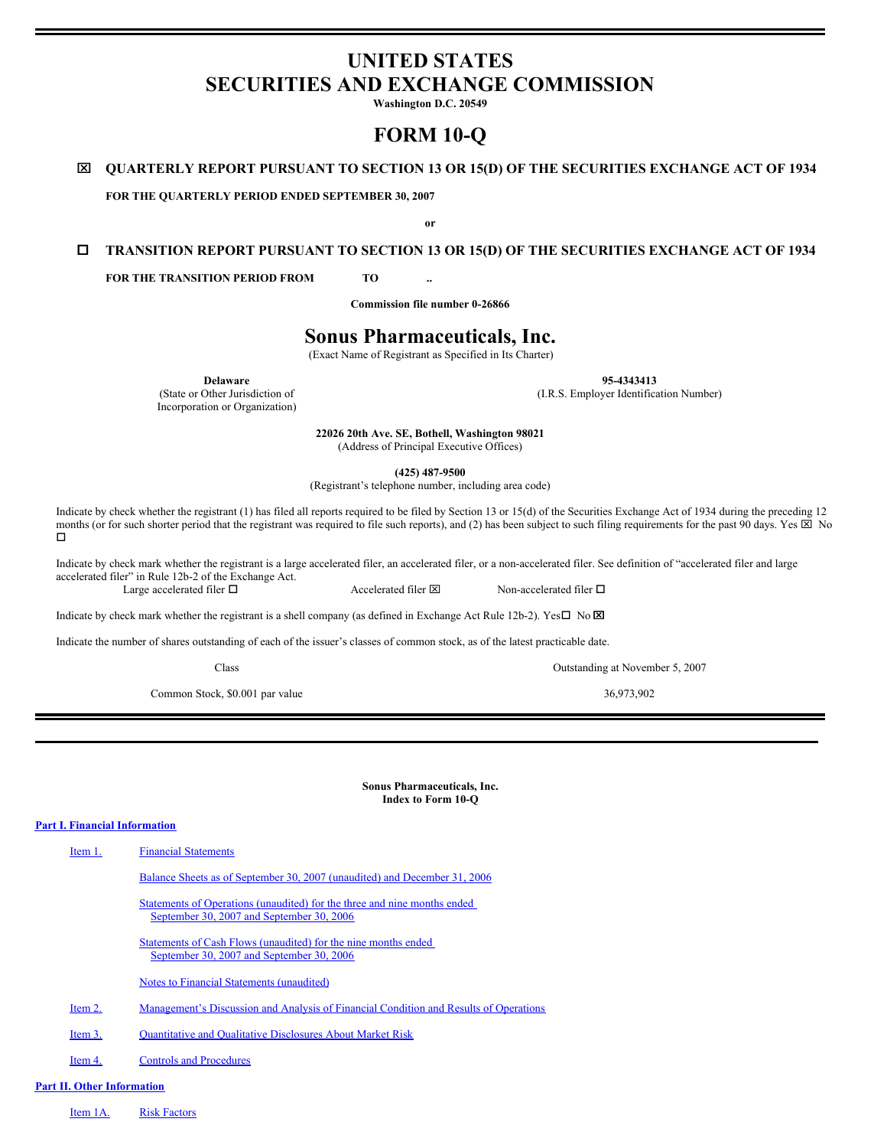# **UNITED STATES SECURITIES AND EXCHANGE COMMISSION**

**Washington D.C. 20549**

# **FORM 10-Q**

## x **QUARTERLY REPORT PURSUANT TO SECTION 13 OR 15(D) OF THE SECURITIES EXCHANGE ACT OF 1934**

**FOR THE QUARTERLY PERIOD ENDED SEPTEMBER 30, 2007**

**or**

## o **TRANSITION REPORT PURSUANT TO SECTION 13 OR 15(D) OF THE SECURITIES EXCHANGE ACT OF 1934**

**FOR THE TRANSITION PERIOD FROM TO ..**

**Commission file number 0-26866**

## **Sonus Pharmaceuticals, Inc.**

(Exact Name of Registrant as Specified in Its Charter)

Incorporation or Organization)

**Delaware 95-4343413** (State or Other Jurisdiction of (I.R.S. Employer Identification Number)

**22026 20th Ave. SE, Bothell, Washington 98021** (Address of Principal Executive Offices)

**(425) 487-9500**

(Registrant's telephone number, including area code)

Indicate by check whether the registrant (1) has filed all reports required to be filed by Section 13 or 15(d) of the Securities Exchange Act of 1934 during the preceding 12 months (or for such shorter period that the registrant was required to file such reports), and (2) has been subject to such filing requirements for the past 90 days. Yes  $\boxtimes$  No o

Indicate by check mark whether the registrant is a large accelerated filer, an accelerated filer, or a non-accelerated filer. See definition of "accelerated filer and large accelerated filer" in Rule 12b-2 of the Exchange Act. Large accelerated filer  $\square$  Accelerated filer  $\square$  Non-accelerated filer  $\square$ 

Indicate by check mark whether the registrant is a shell company (as defined in Exchange Act Rule 12b-2). Yes $\square$  No  $\boxtimes$ 

Indicate the number of shares outstanding of each of the issuer's classes of common stock, as of the latest practicable date.

Common Stock, \$0.001 par value 36,973,902

Class Outstanding at November 5, 2007

**Sonus Pharmaceuticals, Inc. Index to Form 10-Q**

#### **Part I. Financial [Information](#page-1-0)**

| Item 1. | <b>Financial Statements</b>                                                                                           |
|---------|-----------------------------------------------------------------------------------------------------------------------|
|         | Balance Sheets as of September 30, 2007 (unaudited) and December 31, 2006                                             |
|         | Statements of Operations (unaudited) for the three and nine months ended<br>September 30, 2007 and September 30, 2006 |
|         | Statements of Cash Flows (unaudited) for the nine months ended<br>September 30, 2007 and September 30, 2006           |
|         | Notes to Financial Statements (unaudited)                                                                             |
| Item 2. | Management's Discussion and Analysis of Financial Condition and Results of Operations                                 |
| Item 3. | <b>Quantitative and Qualitative Disclosures About Market Risk</b>                                                     |
| Item 4. | <b>Controls and Procedures</b>                                                                                        |
|         |                                                                                                                       |

## **Part II. Other [Information](#page-8-2)**

[Item](#page-8-3) 1A. Risk [Factors](#page-8-3)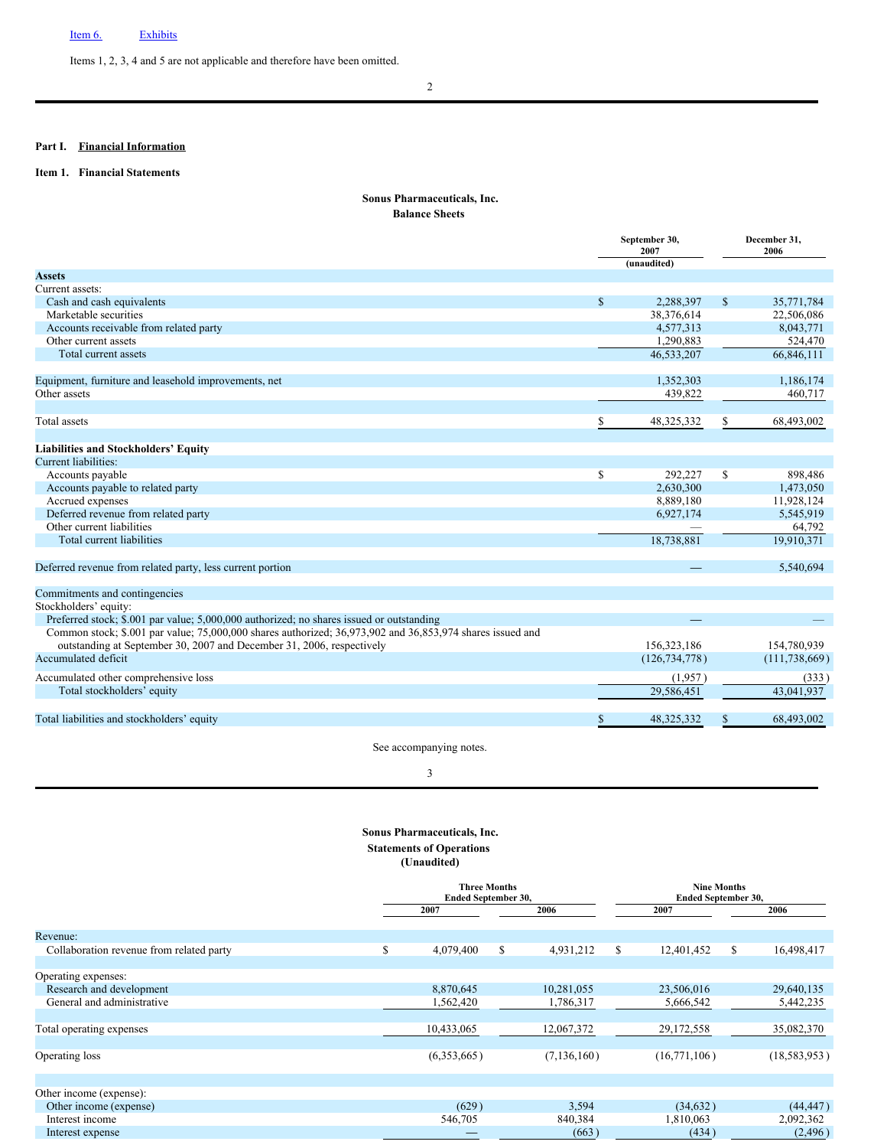<span id="page-1-0"></span>Items 1, 2, 3, 4 and 5 are not applicable and therefore have been omitted.

## **Part I. Financial Information**

## <span id="page-1-1"></span>**Item 1. Financial Statements**

## **Sonus Pharmaceuticals, Inc. Balance Sheets**

<span id="page-1-2"></span>

| (unaudited)<br><b>Assets</b><br>Current assets:<br>Cash and cash equivalents<br>\$<br>2,288,397<br><sup>\$</sup><br>35,771,784<br>Marketable securities<br>38.376.614<br>22,506,086<br>Accounts receivable from related party<br>4,577,313<br>8,043,771<br>Other current assets<br>1,290,883<br>524,470<br>Total current assets<br>46,533,207<br>66,846,111<br>Equipment, furniture and leasehold improvements, net<br>1,352,303<br>Other assets<br>439,822<br><b>Total</b> assets<br>48,325,332<br><b>Liabilities and Stockholders' Equity</b><br>Current liabilities:<br>\$<br>Accounts payable<br>292,227<br>\$<br>Accounts payable to related party<br>2,630,300<br>Accrued expenses<br>8,889,180<br>Deferred revenue from related party<br>6,927,174<br>Other current liabilities<br>Total current liabilities<br>18,738,881<br>Deferred revenue from related party, less current portion<br>Commitments and contingencies<br>Stockholders' equity:<br>Preferred stock; \$.001 par value; 5,000,000 authorized; no shares issued or outstanding<br>Common stock; \$.001 par value; 75,000,000 shares authorized; 36,973,902 and 36,853,974 shares issued and<br>outstanding at September 30, 2007 and December 31, 2006, respectively<br>156,323,186<br>Accumulated deficit<br>(126, 734, 778)<br>Accumulated other comprehensive loss<br>(1,957)<br>29,586,451<br>Total stockholders' equity<br>Total liabilities and stockholders' equity<br>48, 325, 332<br>\$ | September 30,<br>2007 |  |  | December 31,<br>2006 |
|------------------------------------------------------------------------------------------------------------------------------------------------------------------------------------------------------------------------------------------------------------------------------------------------------------------------------------------------------------------------------------------------------------------------------------------------------------------------------------------------------------------------------------------------------------------------------------------------------------------------------------------------------------------------------------------------------------------------------------------------------------------------------------------------------------------------------------------------------------------------------------------------------------------------------------------------------------------------------------------------------------------------------------------------------------------------------------------------------------------------------------------------------------------------------------------------------------------------------------------------------------------------------------------------------------------------------------------------------------------------------------------------------------------------------------------------------------------------|-----------------------|--|--|----------------------|
|                                                                                                                                                                                                                                                                                                                                                                                                                                                                                                                                                                                                                                                                                                                                                                                                                                                                                                                                                                                                                                                                                                                                                                                                                                                                                                                                                                                                                                                                        |                       |  |  |                      |
|                                                                                                                                                                                                                                                                                                                                                                                                                                                                                                                                                                                                                                                                                                                                                                                                                                                                                                                                                                                                                                                                                                                                                                                                                                                                                                                                                                                                                                                                        |                       |  |  |                      |
|                                                                                                                                                                                                                                                                                                                                                                                                                                                                                                                                                                                                                                                                                                                                                                                                                                                                                                                                                                                                                                                                                                                                                                                                                                                                                                                                                                                                                                                                        |                       |  |  |                      |
|                                                                                                                                                                                                                                                                                                                                                                                                                                                                                                                                                                                                                                                                                                                                                                                                                                                                                                                                                                                                                                                                                                                                                                                                                                                                                                                                                                                                                                                                        |                       |  |  |                      |
|                                                                                                                                                                                                                                                                                                                                                                                                                                                                                                                                                                                                                                                                                                                                                                                                                                                                                                                                                                                                                                                                                                                                                                                                                                                                                                                                                                                                                                                                        |                       |  |  |                      |
|                                                                                                                                                                                                                                                                                                                                                                                                                                                                                                                                                                                                                                                                                                                                                                                                                                                                                                                                                                                                                                                                                                                                                                                                                                                                                                                                                                                                                                                                        |                       |  |  |                      |
|                                                                                                                                                                                                                                                                                                                                                                                                                                                                                                                                                                                                                                                                                                                                                                                                                                                                                                                                                                                                                                                                                                                                                                                                                                                                                                                                                                                                                                                                        |                       |  |  |                      |
|                                                                                                                                                                                                                                                                                                                                                                                                                                                                                                                                                                                                                                                                                                                                                                                                                                                                                                                                                                                                                                                                                                                                                                                                                                                                                                                                                                                                                                                                        |                       |  |  |                      |
|                                                                                                                                                                                                                                                                                                                                                                                                                                                                                                                                                                                                                                                                                                                                                                                                                                                                                                                                                                                                                                                                                                                                                                                                                                                                                                                                                                                                                                                                        |                       |  |  | 1,186,174            |
|                                                                                                                                                                                                                                                                                                                                                                                                                                                                                                                                                                                                                                                                                                                                                                                                                                                                                                                                                                                                                                                                                                                                                                                                                                                                                                                                                                                                                                                                        |                       |  |  | 460,717              |
|                                                                                                                                                                                                                                                                                                                                                                                                                                                                                                                                                                                                                                                                                                                                                                                                                                                                                                                                                                                                                                                                                                                                                                                                                                                                                                                                                                                                                                                                        |                       |  |  | 68,493,002           |
|                                                                                                                                                                                                                                                                                                                                                                                                                                                                                                                                                                                                                                                                                                                                                                                                                                                                                                                                                                                                                                                                                                                                                                                                                                                                                                                                                                                                                                                                        |                       |  |  |                      |
|                                                                                                                                                                                                                                                                                                                                                                                                                                                                                                                                                                                                                                                                                                                                                                                                                                                                                                                                                                                                                                                                                                                                                                                                                                                                                                                                                                                                                                                                        |                       |  |  |                      |
|                                                                                                                                                                                                                                                                                                                                                                                                                                                                                                                                                                                                                                                                                                                                                                                                                                                                                                                                                                                                                                                                                                                                                                                                                                                                                                                                                                                                                                                                        |                       |  |  | 898,486              |
|                                                                                                                                                                                                                                                                                                                                                                                                                                                                                                                                                                                                                                                                                                                                                                                                                                                                                                                                                                                                                                                                                                                                                                                                                                                                                                                                                                                                                                                                        |                       |  |  | 1,473,050            |
|                                                                                                                                                                                                                                                                                                                                                                                                                                                                                                                                                                                                                                                                                                                                                                                                                                                                                                                                                                                                                                                                                                                                                                                                                                                                                                                                                                                                                                                                        |                       |  |  | 11,928,124           |
|                                                                                                                                                                                                                                                                                                                                                                                                                                                                                                                                                                                                                                                                                                                                                                                                                                                                                                                                                                                                                                                                                                                                                                                                                                                                                                                                                                                                                                                                        |                       |  |  | 5,545,919            |
|                                                                                                                                                                                                                                                                                                                                                                                                                                                                                                                                                                                                                                                                                                                                                                                                                                                                                                                                                                                                                                                                                                                                                                                                                                                                                                                                                                                                                                                                        |                       |  |  | 64,792               |
|                                                                                                                                                                                                                                                                                                                                                                                                                                                                                                                                                                                                                                                                                                                                                                                                                                                                                                                                                                                                                                                                                                                                                                                                                                                                                                                                                                                                                                                                        |                       |  |  | 19,910,371           |
|                                                                                                                                                                                                                                                                                                                                                                                                                                                                                                                                                                                                                                                                                                                                                                                                                                                                                                                                                                                                                                                                                                                                                                                                                                                                                                                                                                                                                                                                        |                       |  |  | 5,540,694            |
|                                                                                                                                                                                                                                                                                                                                                                                                                                                                                                                                                                                                                                                                                                                                                                                                                                                                                                                                                                                                                                                                                                                                                                                                                                                                                                                                                                                                                                                                        |                       |  |  |                      |
|                                                                                                                                                                                                                                                                                                                                                                                                                                                                                                                                                                                                                                                                                                                                                                                                                                                                                                                                                                                                                                                                                                                                                                                                                                                                                                                                                                                                                                                                        |                       |  |  |                      |
|                                                                                                                                                                                                                                                                                                                                                                                                                                                                                                                                                                                                                                                                                                                                                                                                                                                                                                                                                                                                                                                                                                                                                                                                                                                                                                                                                                                                                                                                        |                       |  |  |                      |
|                                                                                                                                                                                                                                                                                                                                                                                                                                                                                                                                                                                                                                                                                                                                                                                                                                                                                                                                                                                                                                                                                                                                                                                                                                                                                                                                                                                                                                                                        |                       |  |  |                      |
|                                                                                                                                                                                                                                                                                                                                                                                                                                                                                                                                                                                                                                                                                                                                                                                                                                                                                                                                                                                                                                                                                                                                                                                                                                                                                                                                                                                                                                                                        |                       |  |  | 154,780,939          |
|                                                                                                                                                                                                                                                                                                                                                                                                                                                                                                                                                                                                                                                                                                                                                                                                                                                                                                                                                                                                                                                                                                                                                                                                                                                                                                                                                                                                                                                                        |                       |  |  | (111, 738, 669)      |
|                                                                                                                                                                                                                                                                                                                                                                                                                                                                                                                                                                                                                                                                                                                                                                                                                                                                                                                                                                                                                                                                                                                                                                                                                                                                                                                                                                                                                                                                        |                       |  |  | (333)                |
|                                                                                                                                                                                                                                                                                                                                                                                                                                                                                                                                                                                                                                                                                                                                                                                                                                                                                                                                                                                                                                                                                                                                                                                                                                                                                                                                                                                                                                                                        |                       |  |  | 43,041,937           |
|                                                                                                                                                                                                                                                                                                                                                                                                                                                                                                                                                                                                                                                                                                                                                                                                                                                                                                                                                                                                                                                                                                                                                                                                                                                                                                                                                                                                                                                                        |                       |  |  | 68,493,002           |

See accompanying notes.

## <span id="page-1-3"></span>3

## **Sonus Pharmaceuticals, Inc. Statements of Operations (Unaudited)**

|                                          |              | <b>Three Months</b><br><b>Ended September 30,</b> |    |               |   |              | <b>Nine Months</b><br>Ended September 30, |                |  |  |
|------------------------------------------|--------------|---------------------------------------------------|----|---------------|---|--------------|-------------------------------------------|----------------|--|--|
|                                          | 2006<br>2007 |                                                   |    | 2007          |   | 2006         |                                           |                |  |  |
| Revenue:                                 |              |                                                   |    |               |   |              |                                           |                |  |  |
| Collaboration revenue from related party | \$           | 4,079,400                                         | \$ | 4,931,212     | S | 12,401,452   | \$                                        | 16,498,417     |  |  |
|                                          |              |                                                   |    |               |   |              |                                           |                |  |  |
| Operating expenses:                      |              |                                                   |    |               |   |              |                                           |                |  |  |
| Research and development                 |              | 8,870,645                                         |    | 10,281,055    |   | 23,506,016   |                                           | 29,640,135     |  |  |
| General and administrative               |              | 1,562,420                                         |    | 1,786,317     |   | 5,666,542    |                                           | 5,442,235      |  |  |
|                                          |              |                                                   |    |               |   |              |                                           |                |  |  |
| Total operating expenses                 |              | 10,433,065                                        |    | 12,067,372    |   | 29,172,558   |                                           | 35,082,370     |  |  |
|                                          |              |                                                   |    |               |   |              |                                           |                |  |  |
| Operating loss                           |              | (6,353,665)                                       |    | (7, 136, 160) |   | (16,771,106) |                                           | (18, 583, 953) |  |  |
|                                          |              |                                                   |    |               |   |              |                                           |                |  |  |
|                                          |              |                                                   |    |               |   |              |                                           |                |  |  |
| Other income (expense):                  |              |                                                   |    |               |   |              |                                           |                |  |  |
| Other income (expense)                   |              | (629)                                             |    | 3,594         |   | (34, 632)    |                                           | (44, 447)      |  |  |
| Interest income                          |              | 546,705                                           |    | 840,384       |   | 1,810,063    |                                           | 2,092,362      |  |  |
| Interest expense                         |              |                                                   |    | (663)         |   | (434)        |                                           | (2, 496)       |  |  |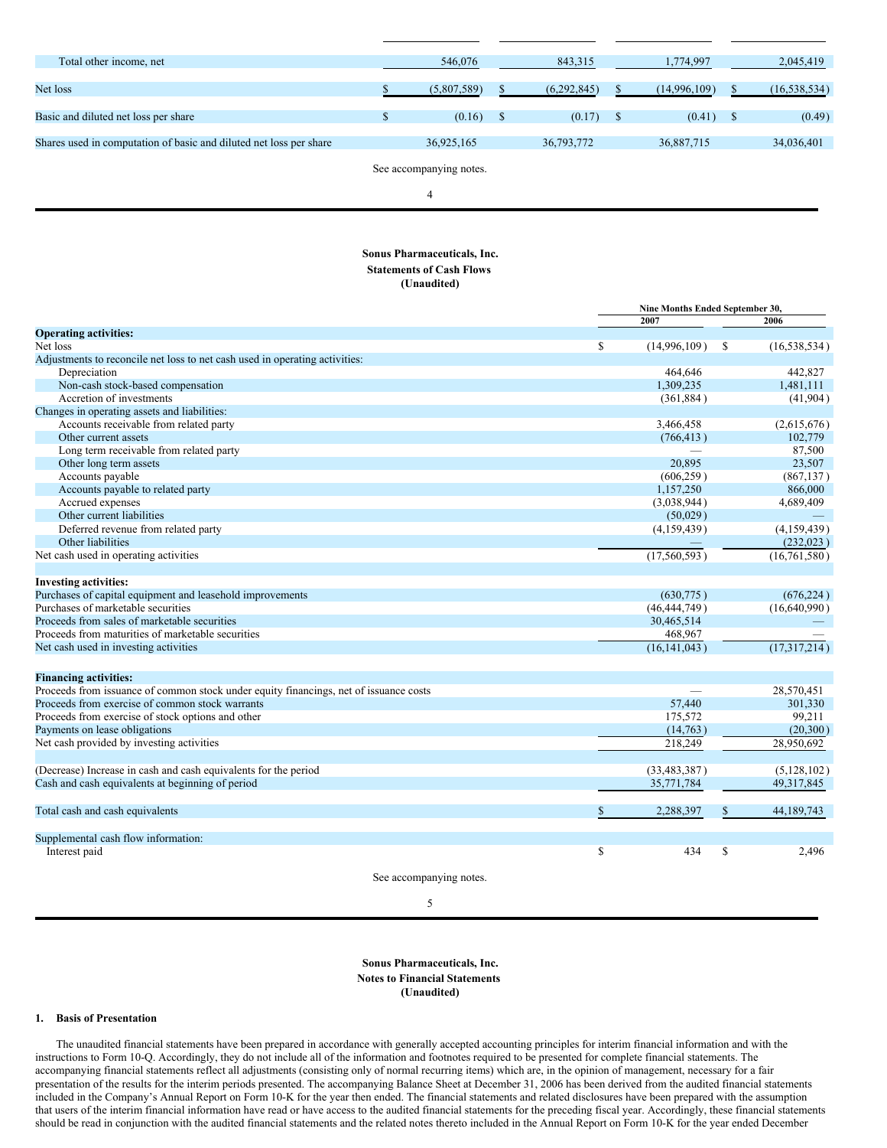| Total other income, net                                            | 546,076                 | 843,315     | 1,774,997    | 2,045,419      |
|--------------------------------------------------------------------|-------------------------|-------------|--------------|----------------|
|                                                                    |                         |             |              |                |
| Net loss                                                           | (5,807,589)             | (6,292,845) | (14,996,109) | (16, 538, 534) |
|                                                                    |                         |             |              |                |
| Basic and diluted net loss per share                               | (0.16)                  | (0.17)      | (0.41)       | (0.49)         |
|                                                                    |                         |             |              |                |
| Shares used in computation of basic and diluted net loss per share | 36,925,165              | 36,793,772  | 36,887,715   | 34,036,401     |
|                                                                    |                         |             |              |                |
|                                                                    | See accompanying notes. |             |              |                |

<span id="page-2-0"></span>4

## **Sonus Pharmaceuticals, Inc. Statements of Cash Flows (Unaudited)**

|                                                                                       |    | Nine Months Ended September 30, |              |                |  |
|---------------------------------------------------------------------------------------|----|---------------------------------|--------------|----------------|--|
|                                                                                       |    | 2007                            |              | 2006           |  |
| <b>Operating activities:</b>                                                          |    |                                 |              |                |  |
| Net loss                                                                              | \$ | (14,996,109)                    | -S           | (16, 538, 534) |  |
| Adjustments to reconcile net loss to net cash used in operating activities:           |    |                                 |              |                |  |
| Depreciation                                                                          |    | 464,646                         |              | 442,827        |  |
| Non-cash stock-based compensation                                                     |    | 1,309,235                       |              | 1,481,111      |  |
| Accretion of investments                                                              |    | (361, 884)                      |              | (41,904)       |  |
| Changes in operating assets and liabilities:                                          |    |                                 |              |                |  |
| Accounts receivable from related party                                                |    | 3,466,458                       |              | (2,615,676)    |  |
| Other current assets                                                                  |    | (766, 413)                      |              | 102,779        |  |
| Long term receivable from related party                                               |    |                                 |              | 87,500         |  |
| Other long term assets                                                                |    | 20,895                          |              | 23,507         |  |
| Accounts payable                                                                      |    | (606, 259)                      |              | (867, 137)     |  |
| Accounts payable to related party                                                     |    | 1,157,250                       |              | 866,000        |  |
| Accrued expenses                                                                      |    | (3,038,944)                     |              | 4,689,409      |  |
| Other current liabilities                                                             |    | (50,029)                        |              |                |  |
| Deferred revenue from related party                                                   |    | (4,159,439)                     |              | (4,159,439)    |  |
| Other liabilities                                                                     |    |                                 |              | (232, 023)     |  |
| Net cash used in operating activities                                                 |    | (17,560,593)                    |              | (16, 761, 580) |  |
| <b>Investing activities:</b>                                                          |    |                                 |              |                |  |
| Purchases of capital equipment and leasehold improvements                             |    | (630,775)                       |              | (676, 224)     |  |
| Purchases of marketable securities                                                    |    | (46, 444, 749)                  |              | (16,640,990)   |  |
| Proceeds from sales of marketable securities                                          |    | 30,465,514                      |              |                |  |
| Proceeds from maturities of marketable securities                                     |    | 468,967                         |              |                |  |
| Net cash used in investing activities                                                 |    | (16, 141, 043)                  |              | (17, 317, 214) |  |
|                                                                                       |    |                                 |              |                |  |
| <b>Financing activities:</b>                                                          |    |                                 |              |                |  |
| Proceeds from issuance of common stock under equity financings, net of issuance costs |    |                                 |              | 28,570,451     |  |
| Proceeds from exercise of common stock warrants                                       |    | 57,440                          |              | 301,330        |  |
| Proceeds from exercise of stock options and other                                     |    | 175,572                         |              | 99,211         |  |
| Payments on lease obligations                                                         |    | (14,763)                        |              | (20, 300)      |  |
| Net cash provided by investing activities                                             |    | 218,249                         |              | 28,950,692     |  |
| (Decrease) Increase in cash and cash equivalents for the period                       |    | (33, 483, 387)                  |              | (5, 128, 102)  |  |
| Cash and cash equivalents at beginning of period                                      |    | 35,771,784                      |              | 49,317,845     |  |
|                                                                                       |    |                                 |              |                |  |
| Total cash and cash equivalents                                                       | S  | 2,288,397                       | \$           | 44,189,743     |  |
| Supplemental cash flow information:                                                   |    |                                 |              |                |  |
| Interest paid                                                                         | \$ | 434                             | $\mathbb{S}$ | 2,496          |  |
| See accompanying notes.                                                               |    |                                 |              |                |  |
|                                                                                       |    |                                 |              |                |  |

<span id="page-2-1"></span>5

## **Sonus Pharmaceuticals, Inc. Notes to Financial Statements (Unaudited)**

### **1. Basis of Presentation**

The unaudited financial statements have been prepared in accordance with generally accepted accounting principles for interim financial information and with the instructions to Form 10-Q. Accordingly, they do not include all of the information and footnotes required to be presented for complete financial statements. The accompanying financial statements reflect all adjustments (consisting only of normal recurring items) which are, in the opinion of management, necessary for a fair presentation of the results for the interim periods presented. The accompanying Balance Sheet at December 31, 2006 has been derived from the audited financial statements included in the Company's Annual Report on Form 10-K for the year then ended. The financial statements and related disclosures have been prepared with the assumption that users of the interim financial information have read or have access to the audited financial statements for the preceding fiscal year. Accordingly, these financial statements should be read in conjunction with the audited financial statements and the related notes thereto included in the Annual Report on Form 10-K for the year ended December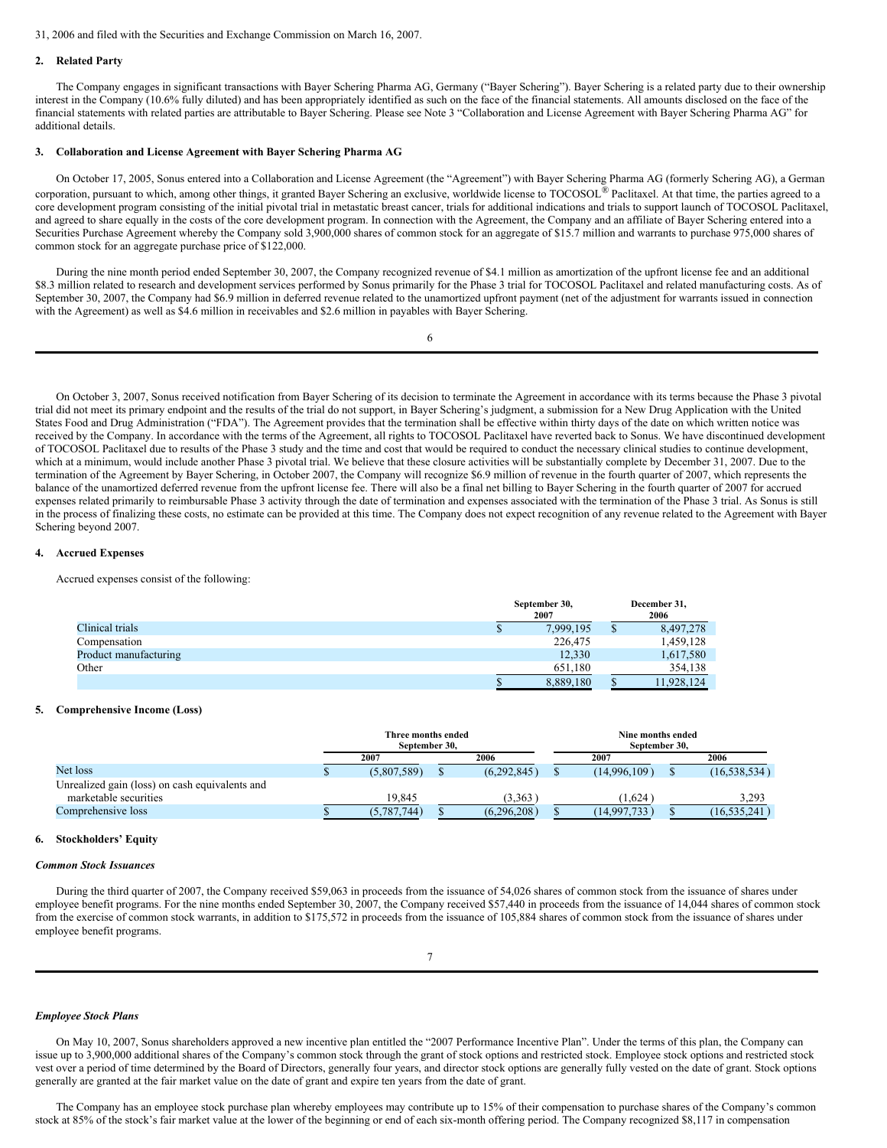#### 31, 2006 and filed with the Securities and Exchange Commission on March 16, 2007.

### **2. Related Party**

The Company engages in significant transactions with Bayer Schering Pharma AG, Germany ("Bayer Schering"). Bayer Schering is a related party due to their ownership interest in the Company (10.6% fully diluted) and has been appropriately identified as such on the face of the financial statements. All amounts disclosed on the face of the financial statements with related parties are attributable to Bayer Schering. Please see Note 3 "Collaboration and License Agreement with Bayer Schering Pharma AG" for additional details.

#### **3. Collaboration and License Agreement with Bayer Schering Pharma AG**

On October 17, 2005, Sonus entered into a Collaboration and License Agreement (the "Agreement") with Bayer Schering Pharma AG (formerly Schering AG), a German corporation, pursuant to which, among other things, it granted Bayer Schering an exclusive, worldwide license to TOCOSOL® Paclitaxel. At that time, the parties agreed to a core development program consisting of the initial pivotal trial in metastatic breast cancer, trials for additional indications and trials to support launch of TOCOSOL Paclitaxel, and agreed to share equally in the costs of the core development program. In connection with the Agreement, the Company and an affiliate of Bayer Schering entered into a Securities Purchase Agreement whereby the Company sold 3,900,000 shares of common stock for an aggregate of \$15.7 million and warrants to purchase 975,000 shares of common stock for an aggregate purchase price of \$122,000.

During the nine month period ended September 30, 2007, the Company recognized revenue of \$4.1 million as amortization of the upfront license fee and an additional \$8.3 million related to research and development services performed by Sonus primarily for the Phase 3 trial for TOCOSOL Paclitaxel and related manufacturing costs. As of September 30, 2007, the Company had \$6.9 million in deferred revenue related to the unamortized upfront payment (net of the adjustment for warrants issued in connection with the Agreement) as well as \$4.6 million in receivables and \$2.6 million in payables with Bayer Schering.

| I<br>٦<br>۰, |
|--------------|
|--------------|

On October 3, 2007, Sonus received notification from Bayer Schering of its decision to terminate the Agreement in accordance with its terms because the Phase 3 pivotal trial did not meet its primary endpoint and the results of the trial do not support, in Bayer Schering's judgment, a submission for a New Drug Application with the United States Food and Drug Administration ("FDA"). The Agreement provides that the termination shall be effective within thirty days of the date on which written notice was received by the Company. In accordance with the terms of the Agreement, all rights to TOCOSOL Paclitaxel have reverted back to Sonus. We have discontinued development of TOCOSOL Paclitaxel due to results of the Phase 3 study and the time and cost that would be required to conduct the necessary clinical studies to continue development, which at a minimum, would include another Phase 3 pivotal trial. We believe that these closure activities will be substantially complete by December 31, 2007. Due to the termination of the Agreement by Bayer Schering, in October 2007, the Company will recognize \$6.9 million of revenue in the fourth quarter of 2007, which represents the balance of the unamortized deferred revenue from the upfront license fee. There will also be a final net billing to Bayer Schering in the fourth quarter of 2007 for accrued expenses related primarily to reimbursable Phase 3 activity through the date of termination and expenses associated with the termination of the Phase 3 trial. As Sonus is still in the process of finalizing these costs, no estimate can be provided at this time. The Company does not expect recognition of any revenue related to the Agreement with Bayer Schering beyond 2007.

#### **4. Accrued Expenses**

Accrued expenses consist of the following:

|                       |   | September 30,<br>2007 | December 31,<br>2006 |
|-----------------------|---|-----------------------|----------------------|
| Clinical trials       | Φ | 7,999,195             | 8,497,278            |
| Compensation          |   | 226,475               | 1,459,128            |
| Product manufacturing |   | 12.330                | 1,617,580            |
| Other                 |   | 651.180               | 354,138              |
|                       |   | 8,889,180             | 11,928,124           |

#### **5. Comprehensive Income (Loss)**

|                                                |      | Three months ended<br>September 30. |  |             |                | Nine months ended<br>September 30. |                |  |  |
|------------------------------------------------|------|-------------------------------------|--|-------------|----------------|------------------------------------|----------------|--|--|
|                                                | 2007 |                                     |  | 2006        | 2007           |                                    | 2006           |  |  |
| Net loss                                       |      | (5,807,589)                         |  | (6,292,845) | (14.996.109)   |                                    | (16, 538, 534) |  |  |
| Unrealized gain (loss) on cash equivalents and |      |                                     |  |             |                |                                    |                |  |  |
| marketable securities                          |      | 19.845                              |  | (3.363)     | (1.624)        |                                    | 3.293          |  |  |
| Comprehensive loss                             |      | (5,787,744)                         |  | (6,296,208) | (14, 997, 733) |                                    | (16, 535, 241) |  |  |

## **6. Stockholders' Equity**

### *Common Stock Issuances*

During the third quarter of 2007, the Company received \$59,063 in proceeds from the issuance of 54,026 shares of common stock from the issuance of shares under employee benefit programs. For the nine months ended September 30, 2007, the Company received \$57,440 in proceeds from the issuance of 14,044 shares of common stock from the exercise of common stock warrants, in addition to \$175,572 in proceeds from the issuance of 105,884 shares of common stock from the issuance of shares under employee benefit programs.

#### *Employee Stock Plans*

On May 10, 2007, Sonus shareholders approved a new incentive plan entitled the "2007 Performance Incentive Plan". Under the terms of this plan, the Company can issue up to 3,900,000 additional shares of the Company's common stock through the grant of stock options and restricted stock. Employee stock options and restricted stock vest over a period of time determined by the Board of Directors, generally four years, and director stock options are generally fully vested on the date of grant. Stock options generally are granted at the fair market value on the date of grant and expire ten years from the date of grant.

The Company has an employee stock purchase plan whereby employees may contribute up to 15% of their compensation to purchase shares of the Company's common stock at 85% of the stock's fair market value at the lower of the beginning or end of each six-month offering period. The Company recognized \$8,117 in compensation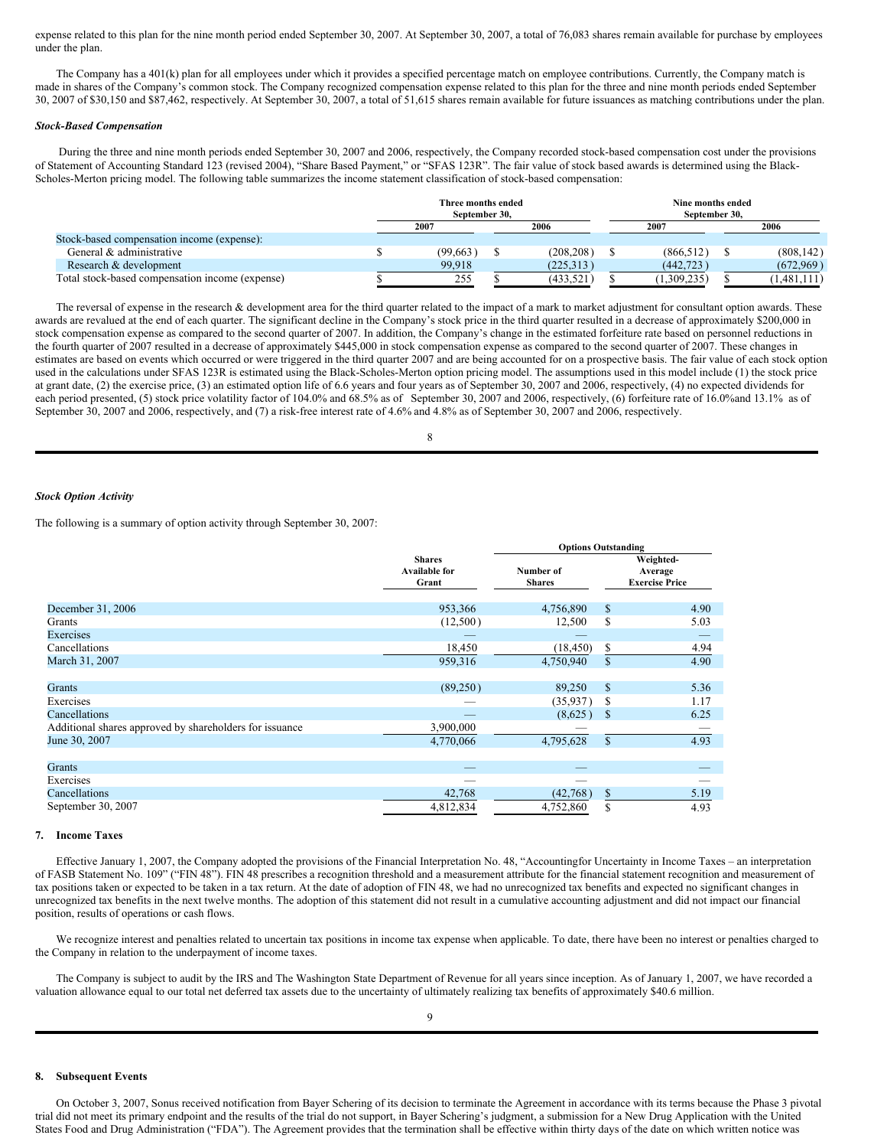expense related to this plan for the nine month period ended September 30, 2007. At September 30, 2007, a total of 76,083 shares remain available for purchase by employees under the plan.

The Company has a 401(k) plan for all employees under which it provides a specified percentage match on employee contributions. Currently, the Company match is made in shares of the Company's common stock. The Company recognized compensation expense related to this plan for the three and nine month periods ended September 30, 2007 of \$30,150 and \$87,462, respectively. At September 30, 2007, a total of 51,615 shares remain available for future issuances as matching contributions under the plan.

#### *Stock-Based Compensation*

During the three and nine month periods ended September 30, 2007 and 2006, respectively, the Company recorded stock-based compensation cost under the provisions of Statement of Accounting Standard 123 (revised 2004), "Share Based Payment," or "SFAS 123R". The fair value of stock based awards is determined using the Black-Scholes-Merton pricing model. The following table summarizes the income statement classification of stock-based compensation:

|                                                 | Three months ended<br>September 30, |            | Nine months ended<br>September 30. |             |
|-------------------------------------------------|-------------------------------------|------------|------------------------------------|-------------|
|                                                 | 2007                                | 2006       | 2007                               | 2006        |
| Stock-based compensation income (expense):      |                                     |            |                                    |             |
| General & administrative                        | (99,663)                            | (208, 208) | (866, 512)                         | (808, 142)  |
| Research & development                          | 99.918                              | (225, 313) | (442.723)                          | (672,969)   |
| Total stock-based compensation income (expense) | 255                                 | (433, 521) | (1,309,235)                        | (1,481,111) |

The reversal of expense in the research & development area for the third quarter related to the impact of a mark to market adjustment for consultant option awards. These awards are revalued at the end of each quarter. The significant decline in the Company's stock price in the third quarter resulted in a decrease of approximately \$200,000 in stock compensation expense as compared to the second quarter of 2007. In addition, the Company's change in the estimated forfeiture rate based on personnel reductions in the fourth quarter of 2007 resulted in a decrease of approximately \$445,000 in stock compensation expense as compared to the second quarter of 2007. These changes in estimates are based on events which occurred or were triggered in the third quarter 2007 and are being accounted for on a prospective basis. The fair value of each stock option used in the calculations under SFAS 123R is estimated using the Black-Scholes-Merton option pricing model. The assumptions used in this model include (1) the stock price at grant date, (2) the exercise price, (3) an estimated option life of 6.6 years and four years as of September 30, 2007 and 2006, respectively, (4) no expected dividends for each period presented, (5) stock price volatility factor of 104.0% and 68.5% as of September 30, 2007 and 2006, respectively, (6) forfeiture rate of 16.0% and 13.1% as of September 30, 2007 and 2006, respectively, and (7) a risk-free interest rate of 4.6% and 4.8% as of September 30, 2007 and 2006, respectively.

8

#### *Stock Option Activity*

The following is a summary of option activity through September 30, 2007:

|                                                         |                                                | <b>Options Outstanding</b> |               |                                               |  |  |  |  |
|---------------------------------------------------------|------------------------------------------------|----------------------------|---------------|-----------------------------------------------|--|--|--|--|
|                                                         | <b>Shares</b><br><b>Available for</b><br>Grant | Number of<br><b>Shares</b> |               | Weighted-<br>Average<br><b>Exercise Price</b> |  |  |  |  |
| December 31, 2006                                       | 953,366                                        | 4,756,890                  | \$            | 4.90                                          |  |  |  |  |
| Grants                                                  | (12,500)                                       | 12,500                     | \$            | 5.03                                          |  |  |  |  |
| Exercises                                               |                                                |                            |               |                                               |  |  |  |  |
| Cancellations                                           | 18,450                                         | (18, 450)                  | \$            | 4.94                                          |  |  |  |  |
| March 31, 2007                                          | 959,316                                        | 4,750,940                  | \$            | 4.90                                          |  |  |  |  |
|                                                         |                                                |                            |               |                                               |  |  |  |  |
| Grants                                                  | (89,250)                                       | 89,250                     | \$            | 5.36                                          |  |  |  |  |
| Exercises                                               |                                                | (35, 937)                  | \$            | 1.17                                          |  |  |  |  |
| Cancellations                                           |                                                | (8,625)                    | <sup>\$</sup> | 6.25                                          |  |  |  |  |
| Additional shares approved by shareholders for issuance | 3,900,000                                      |                            |               |                                               |  |  |  |  |
| June 30, 2007                                           | 4,770,066                                      | 4,795,628                  | \$            | 4.93                                          |  |  |  |  |
|                                                         |                                                |                            |               |                                               |  |  |  |  |
| Grants                                                  |                                                |                            |               |                                               |  |  |  |  |
| Exercises                                               |                                                |                            |               |                                               |  |  |  |  |
| Cancellations                                           | 42,768                                         | (42,768)                   | \$            | 5.19                                          |  |  |  |  |
| September 30, 2007                                      | 4,812,834                                      | 4,752,860                  | \$            | 4.93                                          |  |  |  |  |

#### **7. Income Taxes**

Effective January 1, 2007, the Company adopted the provisions of the Financial Interpretation No. 48, "Accountingfor Uncertainty in Income Taxes – an interpretation of FASB Statement No. 109" ("FIN 48"). FIN 48 prescribes a recognition threshold and a measurement attribute for the financial statement recognition and measurement of tax positions taken or expected to be taken in a tax return. At the date of adoption of FIN 48, we had no unrecognized tax benefits and expected no significant changes in unrecognized tax benefits in the next twelve months. The adoption of this statement did not result in a cumulative accounting adjustment and did not impact our financial position, results of operations or cash flows.

We recognize interest and penalties related to uncertain tax positions in income tax expense when applicable. To date, there have been no interest or penalties charged to the Company in relation to the underpayment of income taxes.

The Company is subject to audit by the IRS and The Washington State Department of Revenue for all years since inception. As of January 1, 2007, we have recorded a valuation allowance equal to our total net deferred tax assets due to the uncertainty of ultimately realizing tax benefits of approximately \$40.6 million.

#### **8. Subsequent Events**

On October 3, 2007, Sonus received notification from Bayer Schering of its decision to terminate the Agreement in accordance with its terms because the Phase 3 pivotal trial did not meet its primary endpoint and the results of the trial do not support, in Bayer Schering's judgment, a submission for a New Drug Application with the United States Food and Drug Administration ("FDA"). The Agreement provides that the termination shall be effective within thirty days of the date on which written notice was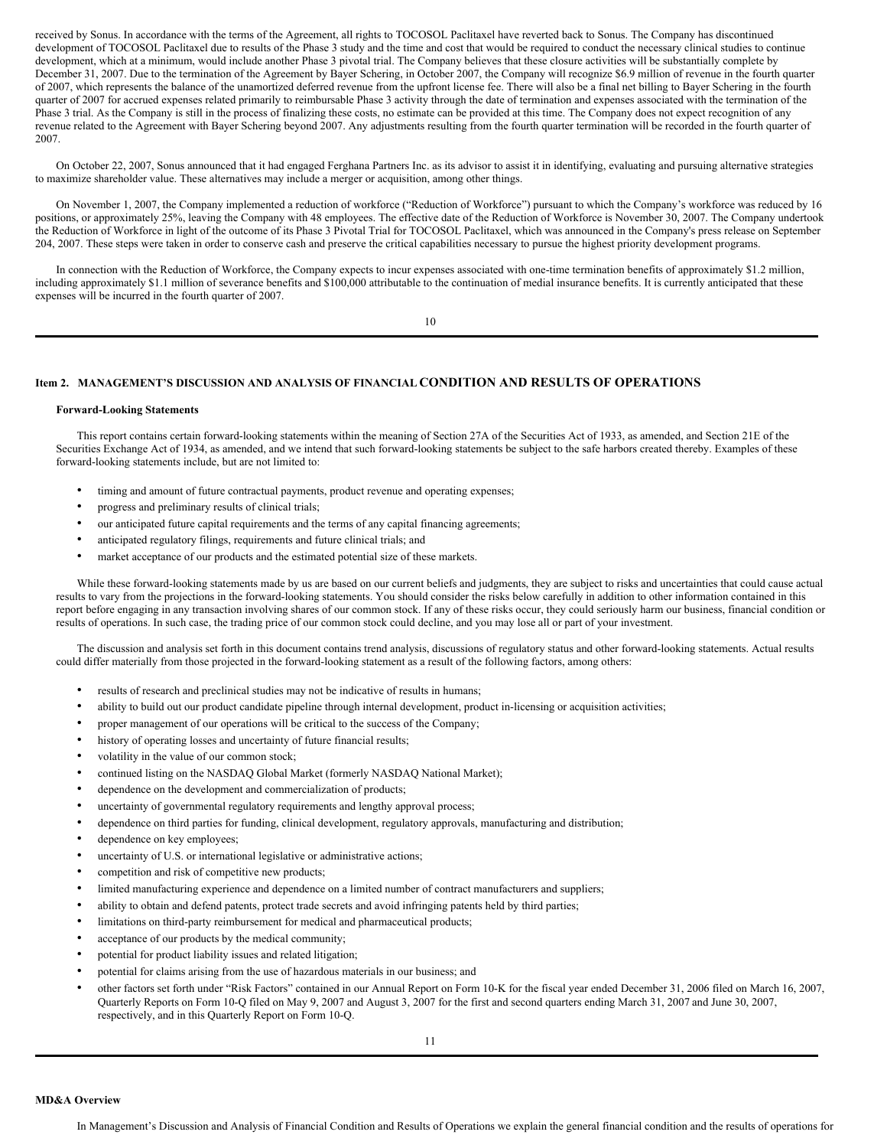received by Sonus. In accordance with the terms of the Agreement, all rights to TOCOSOL Paclitaxel have reverted back to Sonus. The Company has discontinued development of TOCOSOL Paclitaxel due to results of the Phase 3 study and the time and cost that would be required to conduct the necessary clinical studies to continue development, which at a minimum, would include another Phase 3 pivotal trial. The Company believes that these closure activities will be substantially complete by December 31, 2007. Due to the termination of the Agreement by Bayer Schering, in October 2007, the Company will recognize \$6.9 million of revenue in the fourth quarter of 2007, which represents the balance of the unamortized deferred revenue from the upfront license fee. There will also be a final net billing to Bayer Schering in the fourth quarter of 2007 for accrued expenses related primarily to reimbursable Phase 3 activity through the date of termination and expenses associated with the termination of the Phase 3 trial. As the Company is still in the process of finalizing these costs, no estimate can be provided at this time. The Company does not expect recognition of any revenue related to the Agreement with Bayer Schering beyond 2007. Any adjustments resulting from the fourth quarter termination will be recorded in the fourth quarter of 2007.

On October 22, 2007, Sonus announced that it had engaged Ferghana Partners Inc. as its advisor to assist it in identifying, evaluating and pursuing alternative strategies to maximize shareholder value. These alternatives may include a merger or acquisition, among other things.

On November 1, 2007, the Company implemented a reduction of workforce ("Reduction of Workforce") pursuant to which the Company's workforce was reduced by 16 positions, or approximately 25%, leaving the Company with 48 employees. The effective date of the Reduction of Workforce is November 30, 2007. The Company undertook the Reduction of Workforce in light of the outcome of its Phase 3 Pivotal Trial for TOCOSOL Paclitaxel, which was announced in the Company's press release on September 204, 2007. These steps were taken in order to conserve cash and preserve the critical capabilities necessary to pursue the highest priority development programs.

In connection with the Reduction of Workforce, the Company expects to incur expenses associated with one-time termination benefits of approximately \$1.2 million, including approximately \$1.1 million of severance benefits and \$100,000 attributable to the continuation of medial insurance benefits. It is currently anticipated that these expenses will be incurred in the fourth quarter of 2007.

<span id="page-5-0"></span>10

## **Item 2. MANAGEMENT'S DISCUSSION AND ANALYSIS OF FINANCIAL CONDITION AND RESULTS OF OPERATIONS**

### **Forward-Looking Statements**

This report contains certain forward-looking statements within the meaning of Section 27A of the Securities Act of 1933, as amended, and Section 21E of the Securities Exchange Act of 1934, as amended, and we intend that such forward-looking statements be subject to the safe harbors created thereby. Examples of these forward-looking statements include, but are not limited to:

- timing and amount of future contractual payments, product revenue and operating expenses;
- progress and preliminary results of clinical trials;
- our anticipated future capital requirements and the terms of any capital financing agreements;
- anticipated regulatory filings, requirements and future clinical trials; and
- market acceptance of our products and the estimated potential size of these markets.

While these forward-looking statements made by us are based on our current beliefs and judgments, they are subject to risks and uncertainties that could cause actual results to vary from the projections in the forward-looking statements. You should consider the risks below carefully in addition to other information contained in this report before engaging in any transaction involving shares of our common stock. If any of these risks occur, they could seriously harm our business, financial condition or results of operations. In such case, the trading price of our common stock could decline, and you may lose all or part of your investment.

The discussion and analysis set forth in this document contains trend analysis, discussions of regulatory status and other forward-looking statements. Actual results could differ materially from those projected in the forward-looking statement as a result of the following factors, among others:

- results of research and preclinical studies may not be indicative of results in humans;
- ability to build out our product candidate pipeline through internal development, product in-licensing or acquisition activities;
- proper management of our operations will be critical to the success of the Company;
- history of operating losses and uncertainty of future financial results;
- volatility in the value of our common stock;
- continued listing on the NASDAQ Global Market (formerly NASDAQ National Market);
- dependence on the development and commercialization of products;
- uncertainty of governmental regulatory requirements and lengthy approval process;
- dependence on third parties for funding, clinical development, regulatory approvals, manufacturing and distribution;
- dependence on key employees;
- uncertainty of U.S. or international legislative or administrative actions;
- competition and risk of competitive new products;
- limited manufacturing experience and dependence on a limited number of contract manufacturers and suppliers;
- ability to obtain and defend patents, protect trade secrets and avoid infringing patents held by third parties;
- limitations on third-party reimbursement for medical and pharmaceutical products;
- acceptance of our products by the medical community;
- potential for product liability issues and related litigation;
- potential for claims arising from the use of hazardous materials in our business; and
- other factors set forth under "Risk Factors" contained in our Annual Report on Form 10-K for the fiscal year ended December 31, 2006 filed on March 16, 2007, Quarterly Reports on Form 10-Q filed on May 9, 2007 and August 3, 2007 for the first and second quarters ending March 31, 2007 and June 30, 2007, respectively, and in this Quarterly Report on Form 10-Q.

**MD&A Overview**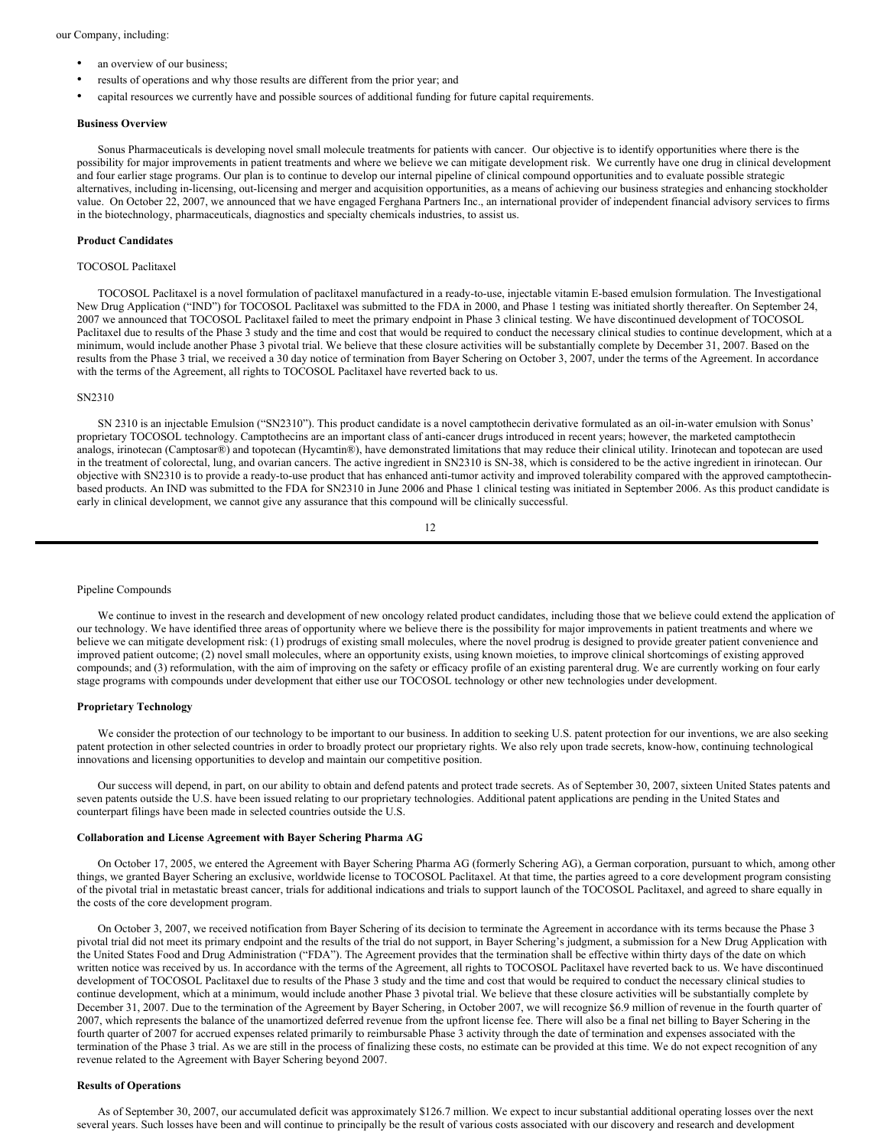#### our Company, including:

- an overview of our business;
- results of operations and why those results are different from the prior year; and
- capital resources we currently have and possible sources of additional funding for future capital requirements.

#### **Business Overview**

Sonus Pharmaceuticals is developing novel small molecule treatments for patients with cancer. Our objective is to identify opportunities where there is the possibility for major improvements in patient treatments and where we believe we can mitigate development risk. We currently have one drug in clinical development and four earlier stage programs. Our plan is to continue to develop our internal pipeline of clinical compound opportunities and to evaluate possible strategic alternatives, including in-licensing, out-licensing and merger and acquisition opportunities, as a means of achieving our business strategies and enhancing stockholder value. On October 22, 2007, we announced that we have engaged Ferghana Partners Inc., an international provider of independent financial advisory services to firms in the biotechnology, pharmaceuticals, diagnostics and specialty chemicals industries, to assist us.

#### **Product Candidates**

#### TOCOSOL Paclitaxel

TOCOSOL Paclitaxel is a novel formulation of paclitaxel manufactured in a ready-to-use, injectable vitamin E-based emulsion formulation. The Investigational New Drug Application ("IND") for TOCOSOL Paclitaxel was submitted to the FDA in 2000, and Phase 1 testing was initiated shortly thereafter. On September 24, 2007 we announced that TOCOSOL Paclitaxel failed to meet the primary endpoint in Phase 3 clinical testing. We have discontinued development of TOCOSOL Paclitaxel due to results of the Phase 3 study and the time and cost that would be required to conduct the necessary clinical studies to continue development, which at a minimum, would include another Phase 3 pivotal trial. We believe that these closure activities will be substantially complete by December 31, 2007. Based on the results from the Phase 3 trial, we received a 30 day notice of termination from Bayer Schering on October 3, 2007, under the terms of the Agreement. In accordance with the terms of the Agreement, all rights to TOCOSOL Paclitaxel have reverted back to us.

#### SN2310

SN 2310 is an injectable Emulsion ("SN2310"). This product candidate is a novel camptothecin derivative formulated as an oil-in-water emulsion with Sonus' proprietary TOCOSOL technology. Camptothecins are an important class of anti-cancer drugs introduced in recent years; however, the marketed camptothecin analogs, irinotecan (Camptosar®) and topotecan (Hycamtin®), have demonstrated limitations that may reduce their clinical utility. Irinotecan and topotecan are used in the treatment of colorectal, lung, and ovarian cancers. The active ingredient in SN2310 is SN-38, which is considered to be the active ingredient in irinotecan. Our objective with SN2310 is to provide a ready-to-use product that has enhanced anti-tumor activity and improved tolerability compared with the approved camptothecinbased products. An IND was submitted to the FDA for SN2310 in June 2006 and Phase 1 clinical testing was initiated in September 2006. As this product candidate is early in clinical development, we cannot give any assurance that this compound will be clinically successful.

12

### Pipeline Compounds

We continue to invest in the research and development of new oncology related product candidates, including those that we believe could extend the application of our technology. We have identified three areas of opportunity where we believe there is the possibility for major improvements in patient treatments and where we believe we can mitigate development risk: (1) prodrugs of existing small molecules, where the novel prodrug is designed to provide greater patient convenience and improved patient outcome; (2) novel small molecules, where an opportunity exists, using known moieties, to improve clinical shortcomings of existing approved compounds; and (3) reformulation, with the aim of improving on the safety or efficacy profile of an existing parenteral drug. We are currently working on four early stage programs with compounds under development that either use our TOCOSOL technology or other new technologies under development.

### **Proprietary Technology**

We consider the protection of our technology to be important to our business. In addition to seeking U.S. patent protection for our inventions, we are also seeking patent protection in other selected countries in order to broadly protect our proprietary rights. We also rely upon trade secrets, know-how, continuing technological innovations and licensing opportunities to develop and maintain our competitive position.

Our success will depend, in part, on our ability to obtain and defend patents and protect trade secrets. As of September 30, 2007, sixteen United States patents and seven patents outside the U.S. have been issued relating to our proprietary technologies. Additional patent applications are pending in the United States and counterpart filings have been made in selected countries outside the U.S.

### **Collaboration and License Agreement with Bayer Schering Pharma AG**

On October 17, 2005, we entered the Agreement with Bayer Schering Pharma AG (formerly Schering AG), a German corporation, pursuant to which, among other things, we granted Bayer Schering an exclusive, worldwide license to TOCOSOL Paclitaxel. At that time, the parties agreed to a core development program consisting of the pivotal trial in metastatic breast cancer, trials for additional indications and trials to support launch of the TOCOSOL Paclitaxel, and agreed to share equally in the costs of the core development program.

On October 3, 2007, we received notification from Bayer Schering of its decision to terminate the Agreement in accordance with its terms because the Phase 3 pivotal trial did not meet its primary endpoint and the results of the trial do not support, in Bayer Schering's judgment, a submission for a New Drug Application with the United States Food and Drug Administration ("FDA"). The Agreement provides that the termination shall be effective within thirty days of the date on which written notice was received by us. In accordance with the terms of the Agreement, all rights to TOCOSOL Paclitaxel have reverted back to us. We have discontinued development of TOCOSOL Paclitaxel due to results of the Phase 3 study and the time and cost that would be required to conduct the necessary clinical studies to continue development, which at a minimum, would include another Phase 3 pivotal trial. We believe that these closure activities will be substantially complete by December 31, 2007. Due to the termination of the Agreement by Bayer Schering, in October 2007, we will recognize \$6.9 million of revenue in the fourth quarter of 2007, which represents the balance of the unamortized deferred revenue from the upfront license fee. There will also be a final net billing to Bayer Schering in the fourth quarter of 2007 for accrued expenses related primarily to reimbursable Phase 3 activity through the date of termination and expenses associated with the termination of the Phase 3 trial. As we are still in the process of finalizing these costs, no estimate can be provided at this time. We do not expect recognition of any revenue related to the Agreement with Bayer Schering beyond 2007.

#### **Results of Operations**

As of September 30, 2007, our accumulated deficit was approximately \$126.7 million. We expect to incur substantial additional operating losses over the next several years. Such losses have been and will continue to principally be the result of various costs associated with our discovery and research and development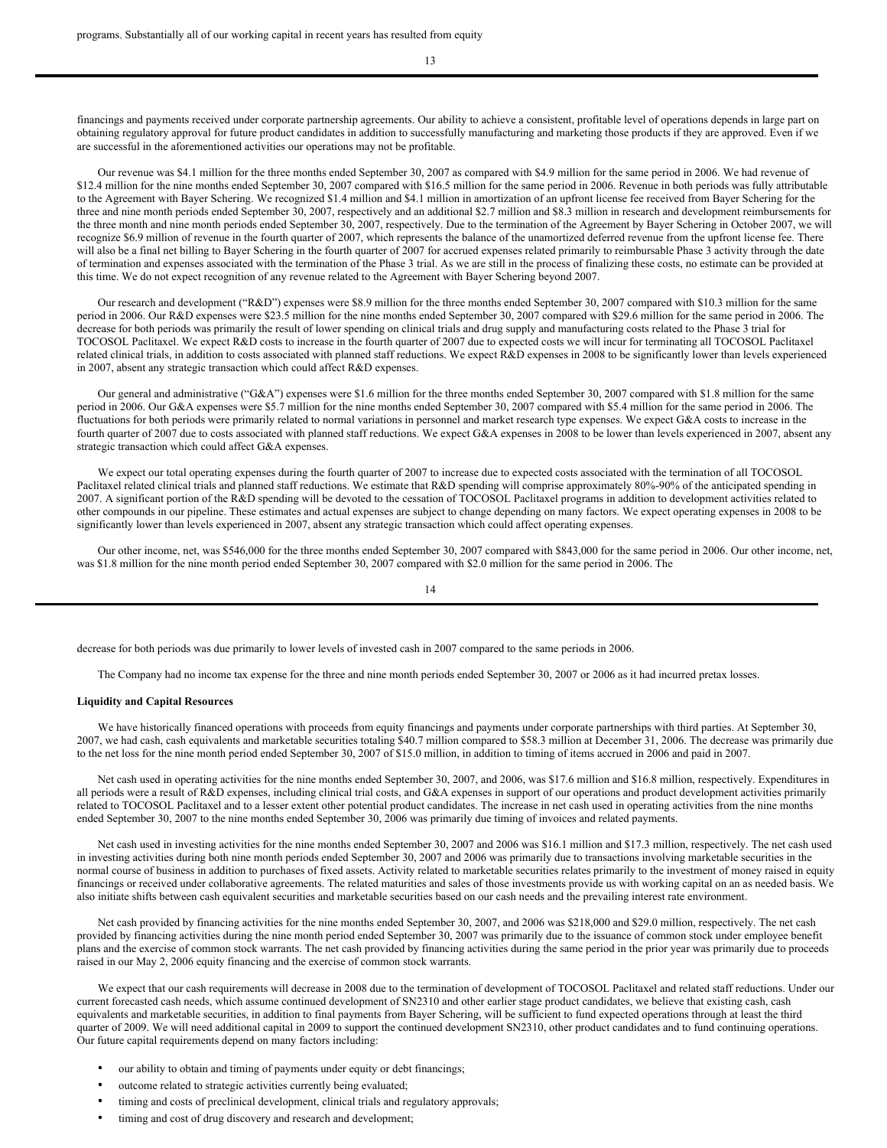financings and payments received under corporate partnership agreements. Our ability to achieve a consistent, profitable level of operations depends in large part on obtaining regulatory approval for future product candidates in addition to successfully manufacturing and marketing those products if they are approved. Even if we are successful in the aforementioned activities our operations may not be profitable.

Our revenue was \$4.1 million for the three months ended September 30, 2007 as compared with \$4.9 million for the same period in 2006. We had revenue of \$12.4 million for the nine months ended September 30, 2007 compared with \$16.5 million for the same period in 2006. Revenue in both periods was fully attributable to the Agreement with Bayer Schering. We recognized \$1.4 million and \$4.1 million in amortization of an upfront license fee received from Bayer Schering for the three and nine month periods ended September 30, 2007, respectively and an additional \$2.7 million and \$8.3 million in research and development reimbursements for the three month and nine month periods ended September 30, 2007, respectively. Due to the termination of the Agreement by Bayer Schering in October 2007, we will recognize \$6.9 million of revenue in the fourth quarter of 2007, which represents the balance of the unamortized deferred revenue from the upfront license fee. There will also be a final net billing to Bayer Schering in the fourth quarter of 2007 for accrued expenses related primarily to reimbursable Phase 3 activity through the date of termination and expenses associated with the termination of the Phase 3 trial. As we are still in the process of finalizing these costs, no estimate can be provided at this time. We do not expect recognition of any revenue related to the Agreement with Bayer Schering beyond 2007.

Our research and development ("R&D") expenses were \$8.9 million for the three months ended September 30, 2007 compared with \$10.3 million for the same period in 2006. Our R&D expenses were \$23.5 million for the nine months ended September 30, 2007 compared with \$29.6 million for the same period in 2006. The decrease for both periods was primarily the result of lower spending on clinical trials and drug supply and manufacturing costs related to the Phase 3 trial for TOCOSOL Paclitaxel. We expect R&D costs to increase in the fourth quarter of 2007 due to expected costs we will incur for terminating all TOCOSOL Paclitaxel related clinical trials, in addition to costs associated with planned staff reductions. We expect R&D expenses in 2008 to be significantly lower than levels experienced in 2007, absent any strategic transaction which could affect R&D expenses.

Our general and administrative ("G&A") expenses were \$1.6 million for the three months ended September 30, 2007 compared with \$1.8 million for the same period in 2006. Our G&A expenses were \$5.7 million for the nine months ended September 30, 2007 compared with \$5.4 million for the same period in 2006. The fluctuations for both periods were primarily related to normal variations in personnel and market research type expenses. We expect G&A costs to increase in the fourth quarter of 2007 due to costs associated with planned staff reductions. We expect G&A expenses in 2008 to be lower than levels experienced in 2007, absent any strategic transaction which could affect G&A expenses.

We expect our total operating expenses during the fourth quarter of 2007 to increase due to expected costs associated with the termination of all TOCOSOL Paclitaxel related clinical trials and planned staff reductions. We estimate that R&D spending will comprise approximately 80%-90% of the anticipated spending in 2007. A significant portion of the R&D spending will be devoted to the cessation of TOCOSOL Paclitaxel programs in addition to development activities related to other compounds in our pipeline. These estimates and actual expenses are subject to change depending on many factors. We expect operating expenses in 2008 to be significantly lower than levels experienced in 2007, absent any strategic transaction which could affect operating expenses.

Our other income, net, was \$546,000 for the three months ended September 30, 2007 compared with \$843,000 for the same period in 2006. Our other income, net, was \$1.8 million for the nine month period ended September 30, 2007 compared with \$2.0 million for the same period in 2006. The

14

decrease for both periods was due primarily to lower levels of invested cash in 2007 compared to the same periods in 2006.

The Company had no income tax expense for the three and nine month periods ended September 30, 2007 or 2006 as it had incurred pretax losses.

### **Liquidity and Capital Resources**

We have historically financed operations with proceeds from equity financings and payments under corporate partnerships with third parties. At September 30, 2007, we had cash, cash equivalents and marketable securities totaling \$40.7 million compared to \$58.3 million at December 31, 2006. The decrease was primarily due to the net loss for the nine month period ended September 30, 2007 of \$15.0 million, in addition to timing of items accrued in 2006 and paid in 2007.

Net cash used in operating activities for the nine months ended September 30, 2007, and 2006, was \$17.6 million and \$16.8 million, respectively. Expenditures in all periods were a result of R&D expenses, including clinical trial costs, and G&A expenses in support of our operations and product development activities primarily related to TOCOSOL Paclitaxel and to a lesser extent other potential product candidates. The increase in net cash used in operating activities from the nine months ended September 30, 2007 to the nine months ended September 30, 2006 was primarily due timing of invoices and related payments.

Net cash used in investing activities for the nine months ended September 30, 2007 and 2006 was \$16.1 million and \$17.3 million, respectively. The net cash used in investing activities during both nine month periods ended September 30, 2007 and 2006 was primarily due to transactions involving marketable securities in the normal course of business in addition to purchases of fixed assets. Activity related to marketable securities relates primarily to the investment of money raised in equity financings or received under collaborative agreements. The related maturities and sales of those investments provide us with working capital on an as needed basis. We also initiate shifts between cash equivalent securities and marketable securities based on our cash needs and the prevailing interest rate environment.

Net cash provided by financing activities for the nine months ended September 30, 2007, and 2006 was \$218,000 and \$29.0 million, respectively. The net cash provided by financing activities during the nine month period ended September 30, 2007 was primarily due to the issuance of common stock under employee benefit plans and the exercise of common stock warrants. The net cash provided by financing activities during the same period in the prior year was primarily due to proceeds raised in our May 2, 2006 equity financing and the exercise of common stock warrants.

We expect that our cash requirements will decrease in 2008 due to the termination of development of TOCOSOL Paclitaxel and related staff reductions. Under our current forecasted cash needs, which assume continued development of SN2310 and other earlier stage product candidates, we believe that existing cash, cash equivalents and marketable securities, in addition to final payments from Bayer Schering, will be sufficient to fund expected operations through at least the third quarter of 2009. We will need additional capital in 2009 to support the continued development SN2310, other product candidates and to fund continuing operations. Our future capital requirements depend on many factors including:

- our ability to obtain and timing of payments under equity or debt financings;
- outcome related to strategic activities currently being evaluated;
- timing and costs of preclinical development, clinical trials and regulatory approvals;
- timing and cost of drug discovery and research and development;

13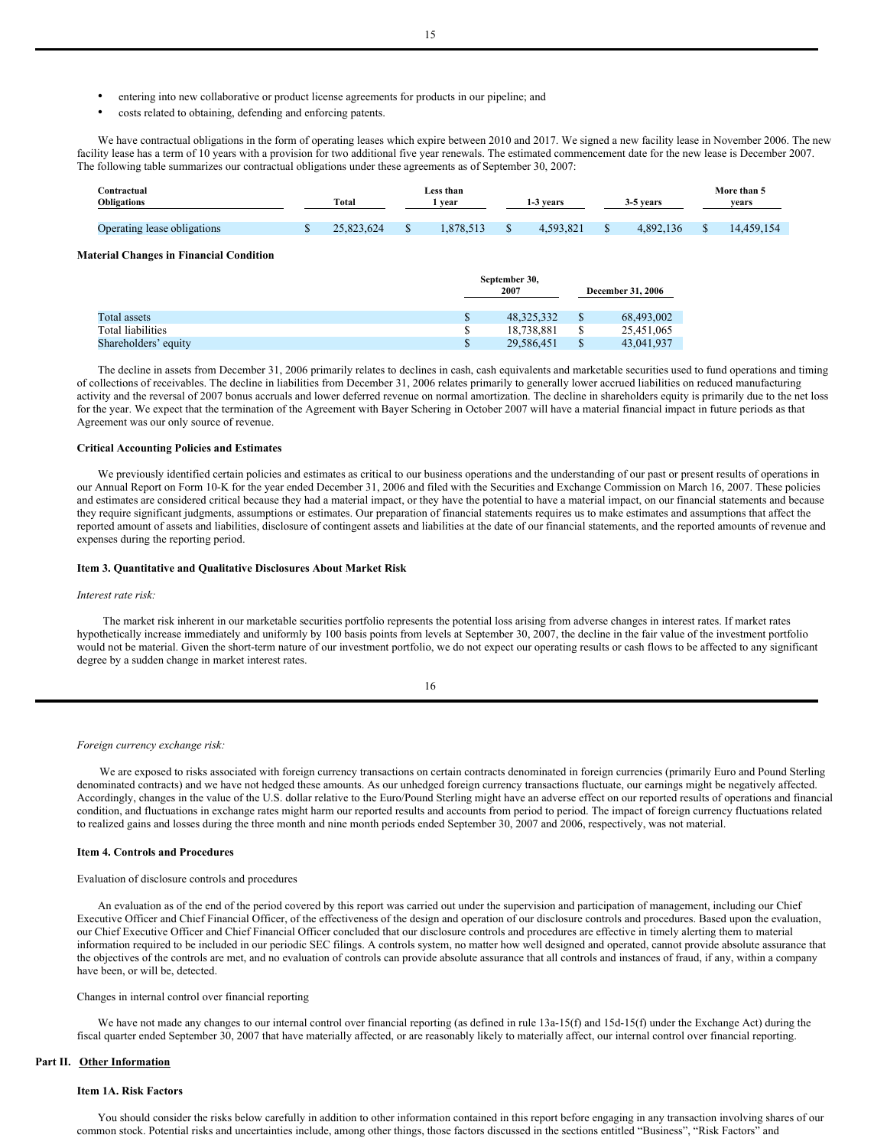- entering into new collaborative or product license agreements for products in our pipeline; and
- costs related to obtaining, defending and enforcing patents.

We have contractual obligations in the form of operating leases which expire between 2010 and 2017. We signed a new facility lease in November 2006. The new facility lease has a term of 10 years with a provision for two additional five year renewals. The estimated commencement date for the new lease is December 2007. The following table summarizes our contractual obligations under these agreements as of September 30, 2007:

| Contractual<br><b>Obligations</b> |  | Total      | Less than<br>1-3 vears<br>vear |  |           | 3-5 years | More than 5<br>vears |            |  |
|-----------------------------------|--|------------|--------------------------------|--|-----------|-----------|----------------------|------------|--|
| Operating lease obligations       |  | 25,823,624 | .878.513                       |  | 4.593.821 | 4.892.136 |                      | 14,459,154 |  |

#### **Material Changes in Financial Condition**

|                      | September 30,<br>2007 |               | <b>December 31, 2006</b> |
|----------------------|-----------------------|---------------|--------------------------|
| Total assets         | 48.325.332            | $\mathbf{\$}$ | 68,493,002               |
| Total liabilities    | 18,738,881            | \$            | 25,451,065               |
| Shareholders' equity | 29.586.451            | $\sqrt{3}$    | 43,041,937               |

The decline in assets from December 31, 2006 primarily relates to declines in cash, cash equivalents and marketable securities used to fund operations and timing of collections of receivables. The decline in liabilities from December 31, 2006 relates primarily to generally lower accrued liabilities on reduced manufacturing activity and the reversal of 2007 bonus accruals and lower deferred revenue on normal amortization. The decline in shareholders equity is primarily due to the net loss for the year. We expect that the termination of the Agreement with Bayer Schering in October 2007 will have a material financial impact in future periods as that Agreement was our only source of revenue.

#### **Critical Accounting Policies and Estimates**

We previously identified certain policies and estimates as critical to our business operations and the understanding of our past or present results of operations in our Annual Report on Form 10-K for the year ended December 31, 2006 and filed with the Securities and Exchange Commission on March 16, 2007. These policies and estimates are considered critical because they had a material impact, or they have the potential to have a material impact, on our financial statements and because they require significant judgments, assumptions or estimates. Our preparation of financial statements requires us to make estimates and assumptions that affect the reported amount of assets and liabilities, disclosure of contingent assets and liabilities at the date of our financial statements, and the reported amounts of revenue and expenses during the reporting period.

#### **Item 3. Quantitative and Qualitative Disclosures About Market Risk**

#### *Interest rate risk:*

The market risk inherent in our marketable securities portfolio represents the potential loss arising from adverse changes in interest rates. If market rates hypothetically increase immediately and uniformly by 100 basis points from levels at September 30, 2007, the decline in the fair value of the investment portfolio would not be material. Given the short-term nature of our investment portfolio, we do not expect our operating results or cash flows to be affected to any significant degree by a sudden change in market interest rates.

<span id="page-8-0"></span>16

#### *Foreign currency exchange risk:*

We are exposed to risks associated with foreign currency transactions on certain contracts denominated in foreign currencies (primarily Euro and Pound Sterling denominated contracts) and we have not hedged these amounts. As our unhedged foreign currency transactions fluctuate, our earnings might be negatively affected. Accordingly, changes in the value of the U.S. dollar relative to the Euro/Pound Sterling might have an adverse effect on our reported results of operations and financial condition, and fluctuations in exchange rates might harm our reported results and accounts from period to period. The impact of foreign currency fluctuations related to realized gains and losses during the three month and nine month periods ended September 30, 2007 and 2006, respectively, was not material.

## <span id="page-8-1"></span>**Item 4. Controls and Procedures**

#### Evaluation of disclosure controls and procedures

An evaluation as of the end of the period covered by this report was carried out under the supervision and participation of management, including our Chief Executive Officer and Chief Financial Officer, of the effectiveness of the design and operation of our disclosure controls and procedures. Based upon the evaluation, our Chief Executive Officer and Chief Financial Officer concluded that our disclosure controls and procedures are effective in timely alerting them to material information required to be included in our periodic SEC filings. A controls system, no matter how well designed and operated, cannot provide absolute assurance that the objectives of the controls are met, and no evaluation of controls can provide absolute assurance that all controls and instances of fraud, if any, within a company have been, or will be, detected.

### Changes in internal control over financial reporting

We have not made any changes to our internal control over financial reporting (as defined in rule 13a-15(f) and 15d-15(f) under the Exchange Act) during the fiscal quarter ended September 30, 2007 that have materially affected, or are reasonably likely to materially affect, our internal control over financial reporting.

## **Part II. Other Information**

## <span id="page-8-3"></span><span id="page-8-2"></span>**Item 1A. Risk Factors**

You should consider the risks below carefully in addition to other information contained in this report before engaging in any transaction involving shares of our common stock. Potential risks and uncertainties include, among other things, those factors discussed in the sections entitled "Business", "Risk Factors" and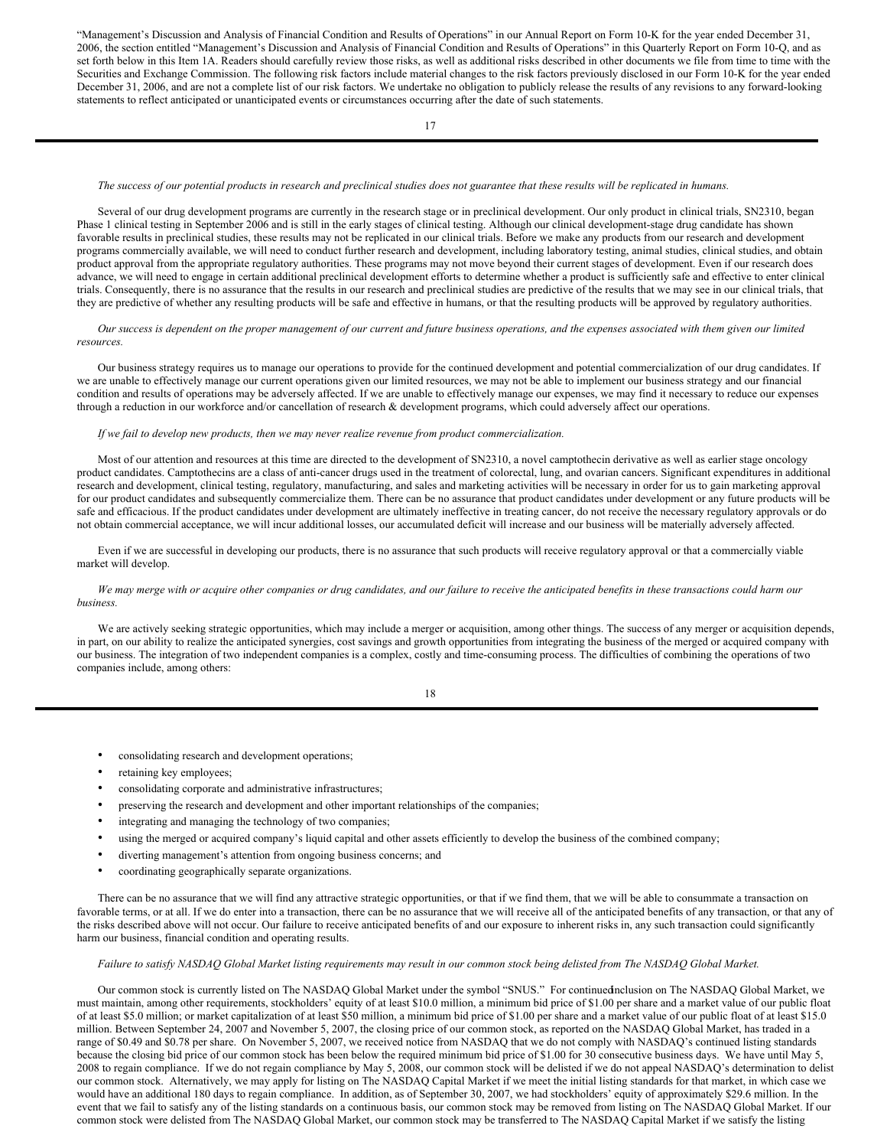"Management's Discussion and Analysis of Financial Condition and Results of Operations" in our Annual Report on Form 10-K for the year ended December 31, 2006, the section entitled "Management's Discussion and Analysis of Financial Condition and Results of Operations" in this Quarterly Report on Form 10-Q, and as set forth below in this Item 1A. Readers should carefully review those risks, as well as additional risks described in other documents we file from time to time with the Securities and Exchange Commission. The following risk factors include material changes to the risk factors previously disclosed in our Form 10-K for the year ended December 31, 2006, and are not a complete list of our risk factors. We undertake no obligation to publicly release the results of any revisions to any forward-looking statements to reflect anticipated or unanticipated events or circumstances occurring after the date of such statements.

17

## The success of our potential products in research and preclinical studies does not guarantee that these results will be replicated in humans.

Several of our drug development programs are currently in the research stage or in preclinical development. Our only product in clinical trials, SN2310, began Phase 1 clinical testing in September 2006 and is still in the early stages of clinical testing. Although our clinical development-stage drug candidate has shown favorable results in preclinical studies, these results may not be replicated in our clinical trials. Before we make any products from our research and development programs commercially available, we will need to conduct further research and development, including laboratory testing, animal studies, clinical studies, and obtain product approval from the appropriate regulatory authorities. These programs may not move beyond their current stages of development. Even if our research does advance, we will need to engage in certain additional preclinical development efforts to determine whether a product is sufficiently safe and effective to enter clinical trials. Consequently, there is no assurance that the results in our research and preclinical studies are predictive of the results that we may see in our clinical trials, that they are predictive of whether any resulting products will be safe and effective in humans, or that the resulting products will be approved by regulatory authorities.

#### Our success is dependent on the proper management of our current and future business operations, and the expenses associated with them given our limited *resources.*

Our business strategy requires us to manage our operations to provide for the continued development and potential commercialization of our drug candidates. If we are unable to effectively manage our current operations given our limited resources, we may not be able to implement our business strategy and our financial condition and results of operations may be adversely affected. If we are unable to effectively manage our expenses, we may find it necessary to reduce our expenses through a reduction in our workforce and/or cancellation of research & development programs, which could adversely affect our operations.

#### *If we fail to develop new products, then we may never realize revenue from product commercialization.*

Most of our attention and resources at this time are directed to the development of SN2310, a novel camptothecin derivative as well as earlier stage oncology product candidates. Camptothecins are a class of anti-cancer drugs used in the treatment of colorectal, lung, and ovarian cancers. Significant expenditures in additional research and development, clinical testing, regulatory, manufacturing, and sales and marketing activities will be necessary in order for us to gain marketing approval for our product candidates and subsequently commercialize them. There can be no assurance that product candidates under development or any future products will be safe and efficacious. If the product candidates under development are ultimately ineffective in treating cancer, do not receive the necessary regulatory approvals or do not obtain commercial acceptance, we will incur additional losses, our accumulated deficit will increase and our business will be materially adversely affected.

Even if we are successful in developing our products, there is no assurance that such products will receive regulatory approval or that a commercially viable market will develop.

### We may merge with or acquire other companies or drug candidates, and our failure to receive the anticipated benefits in these transactions could harm our *business.*

We are actively seeking strategic opportunities, which may include a merger or acquisition, among other things. The success of any merger or acquisition depends, in part, on our ability to realize the anticipated synergies, cost savings and growth opportunities from integrating the business of the merged or acquired company with our business. The integration of two independent companies is a complex, costly and time-consuming process. The difficulties of combining the operations of two companies include, among others:

18

- consolidating research and development operations;
- retaining key employees;
- consolidating corporate and administrative infrastructures;
- preserving the research and development and other important relationships of the companies;
- integrating and managing the technology of two companies;
- using the merged or acquired company's liquid capital and other assets efficiently to develop the business of the combined company;
- diverting management's attention from ongoing business concerns; and
- coordinating geographically separate organizations.

There can be no assurance that we will find any attractive strategic opportunities, or that if we find them, that we will be able to consummate a transaction on favorable terms, or at all. If we do enter into a transaction, there can be no assurance that we will receive all of the anticipated benefits of any transaction, or that any of the risks described above will not occur. Our failure to receive anticipated benefits of and our exposure to inherent risks in, any such transaction could significantly harm our business, financial condition and operating results.

## Failure to satisfy NASDAQ Global Market listing requirements may result in our common stock being delisted from The NASDAQ Global Market.

Our common stock is currently listed on The NASDAQ Global Market under the symbol "SNUS." For continuedinclusion on The NASDAQ Global Market, we must maintain, among other requirements, stockholders' equity of at least \$10.0 million, a minimum bid price of \$1.00 per share and a market value of our public float of at least \$5.0 million; or market capitalization of at least \$50 million, a minimum bid price of \$1.00 per share and a market value of our public float of at least \$15.0 million. Between September 24, 2007 and November 5, 2007, the closing price of our common stock, as reported on the NASDAQ Global Market, has traded in a range of \$0.49 and \$0.78 per share. On November 5, 2007, we received notice from NASDAQ that we do not comply with NASDAQ's continued listing standards because the closing bid price of our common stock has been below the required minimum bid price of \$1.00 for 30 consecutive business days. We have until May 5, 2008 to regain compliance. If we do not regain compliance by May 5, 2008, our common stock will be delisted if we do not appeal NASDAQ's determination to delist our common stock. Alternatively, we may apply for listing on The NASDAQ Capital Market if we meet the initial listing standards for that market, in which case we would have an additional 180 days to regain compliance. In addition, as of September 30, 2007, we had stockholders' equity of approximately \$29.6 million. In the event that we fail to satisfy any of the listing standards on a continuous basis, our common stock may be removed from listing on The NASDAQ Global Market. If our common stock were delisted from The NASDAQ Global Market, our common stock may be transferred to The NASDAQ Capital Market if we satisfy the listing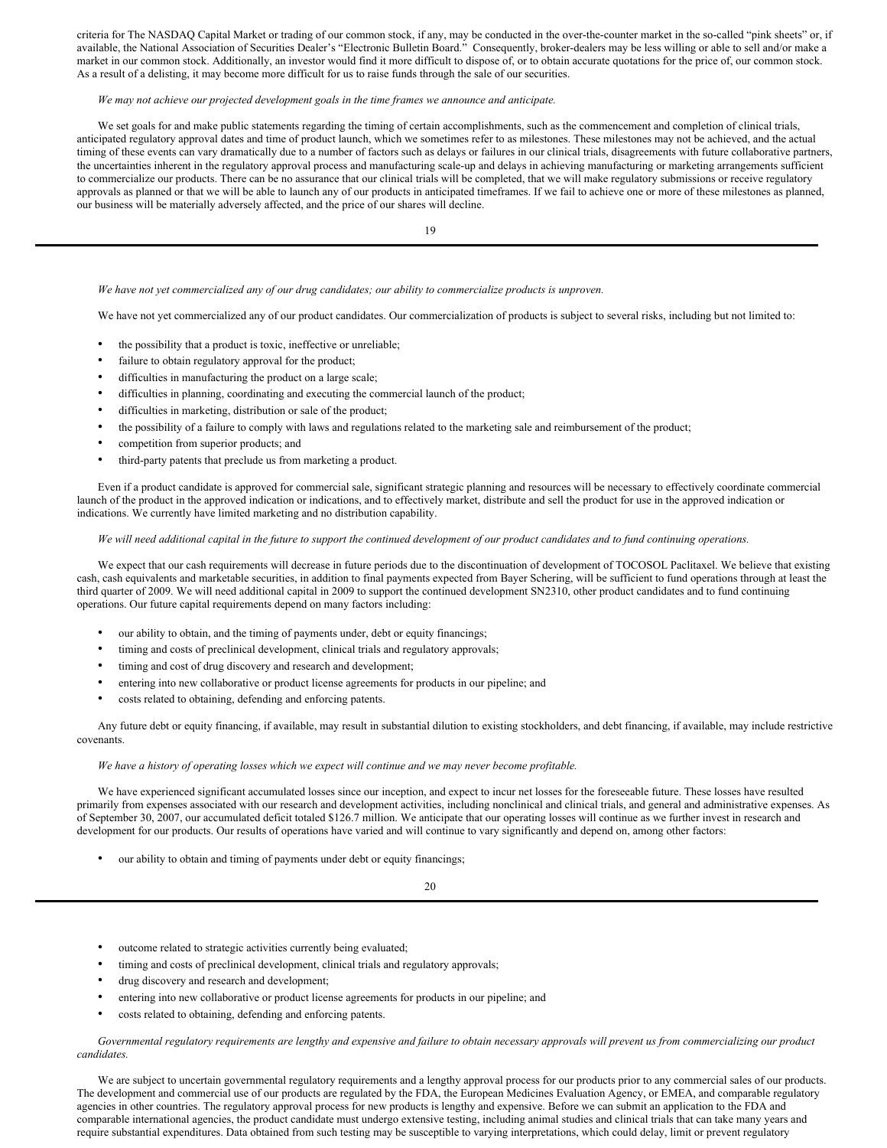criteria for The NASDAQ Capital Market or trading of our common stock, if any, may be conducted in the over-the-counter market in the so-called "pink sheets" or, if available, the National Association of Securities Dealer's "Electronic Bulletin Board." Consequently, broker-dealers may be less willing or able to sell and/or make a market in our common stock. Additionally, an investor would find it more difficult to dispose of, or to obtain accurate quotations for the price of, our common stock. As a result of a delisting, it may become more difficult for us to raise funds through the sale of our securities.

#### *We may not achieve our projected development goals in the time frames we announce and anticipate.*

We set goals for and make public statements regarding the timing of certain accomplishments, such as the commencement and completion of clinical trials, anticipated regulatory approval dates and time of product launch, which we sometimes refer to as milestones. These milestones may not be achieved, and the actual timing of these events can vary dramatically due to a number of factors such as delays or failures in our clinical trials, disagreements with future collaborative partners, the uncertainties inherent in the regulatory approval process and manufacturing scale-up and delays in achieving manufacturing or marketing arrangements sufficient to commercialize our products. There can be no assurance that our clinical trials will be completed, that we will make regulatory submissions or receive regulatory approvals as planned or that we will be able to launch any of our products in anticipated timeframes. If we fail to achieve one or more of these milestones as planned, our business will be materially adversely affected, and the price of our shares will decline.

19

#### We have not yet commercialized any of our drug candidates; our ability to commercialize products is unproven.

We have not yet commercialized any of our product candidates. Our commercialization of products is subject to several risks, including but not limited to:

- the possibility that a product is toxic, ineffective or unreliable;
- failure to obtain regulatory approval for the product;
- difficulties in manufacturing the product on a large scale;
- difficulties in planning, coordinating and executing the commercial launch of the product;
- difficulties in marketing, distribution or sale of the product;
- the possibility of a failure to comply with laws and regulations related to the marketing sale and reimbursement of the product;
- competition from superior products; and
- third-party patents that preclude us from marketing a product.

Even if a product candidate is approved for commercial sale, significant strategic planning and resources will be necessary to effectively coordinate commercial launch of the product in the approved indication or indications, and to effectively market, distribute and sell the product for use in the approved indication or indications. We currently have limited marketing and no distribution capability.

## We will need additional capital in the future to support the continued development of our product candidates and to fund continuing operations.

We expect that our cash requirements will decrease in future periods due to the discontinuation of development of TOCOSOL Paclitaxel. We believe that existing cash, cash equivalents and marketable securities, in addition to final payments expected from Bayer Schering, will be sufficient to fund operations through at least the third quarter of 2009. We will need additional capital in 2009 to support the continued development SN2310, other product candidates and to fund continuing operations. Our future capital requirements depend on many factors including:

- our ability to obtain, and the timing of payments under, debt or equity financings;
- timing and costs of preclinical development, clinical trials and regulatory approvals;
- timing and cost of drug discovery and research and development;
- entering into new collaborative or product license agreements for products in our pipeline; and
- costs related to obtaining, defending and enforcing patents.

Any future debt or equity financing, if available, may result in substantial dilution to existing stockholders, and debt financing, if available, may include restrictive covenants.

We have a history of operating losses which we expect will continue and we may never become profitable.

We have experienced significant accumulated losses since our inception, and expect to incur net losses for the foreseeable future. These losses have resulted primarily from expenses associated with our research and development activities, including nonclinical and clinical trials, and general and administrative expenses. As of September 30, 2007, our accumulated deficit totaled \$126.7 million. We anticipate that our operating losses will continue as we further invest in research and development for our products. Our results of operations have varied and will continue to vary significantly and depend on, among other factors:

• our ability to obtain and timing of payments under debt or equity financings;

20

- outcome related to strategic activities currently being evaluated;
- timing and costs of preclinical development, clinical trials and regulatory approvals;
- drug discovery and research and development;
- entering into new collaborative or product license agreements for products in our pipeline; and
- costs related to obtaining, defending and enforcing patents.

Governmental regulatory requirements are lengthy and expensive and failure to obtain necessary approvals will prevent us from commercializing our product *candidates.*

We are subject to uncertain governmental regulatory requirements and a lengthy approval process for our products prior to any commercial sales of our products. The development and commercial use of our products are regulated by the FDA, the European Medicines Evaluation Agency, or EMEA, and comparable regulatory agencies in other countries. The regulatory approval process for new products is lengthy and expensive. Before we can submit an application to the FDA and comparable international agencies, the product candidate must undergo extensive testing, including animal studies and clinical trials that can take many years and require substantial expenditures. Data obtained from such testing may be susceptible to varying interpretations, which could delay, limit or prevent regulatory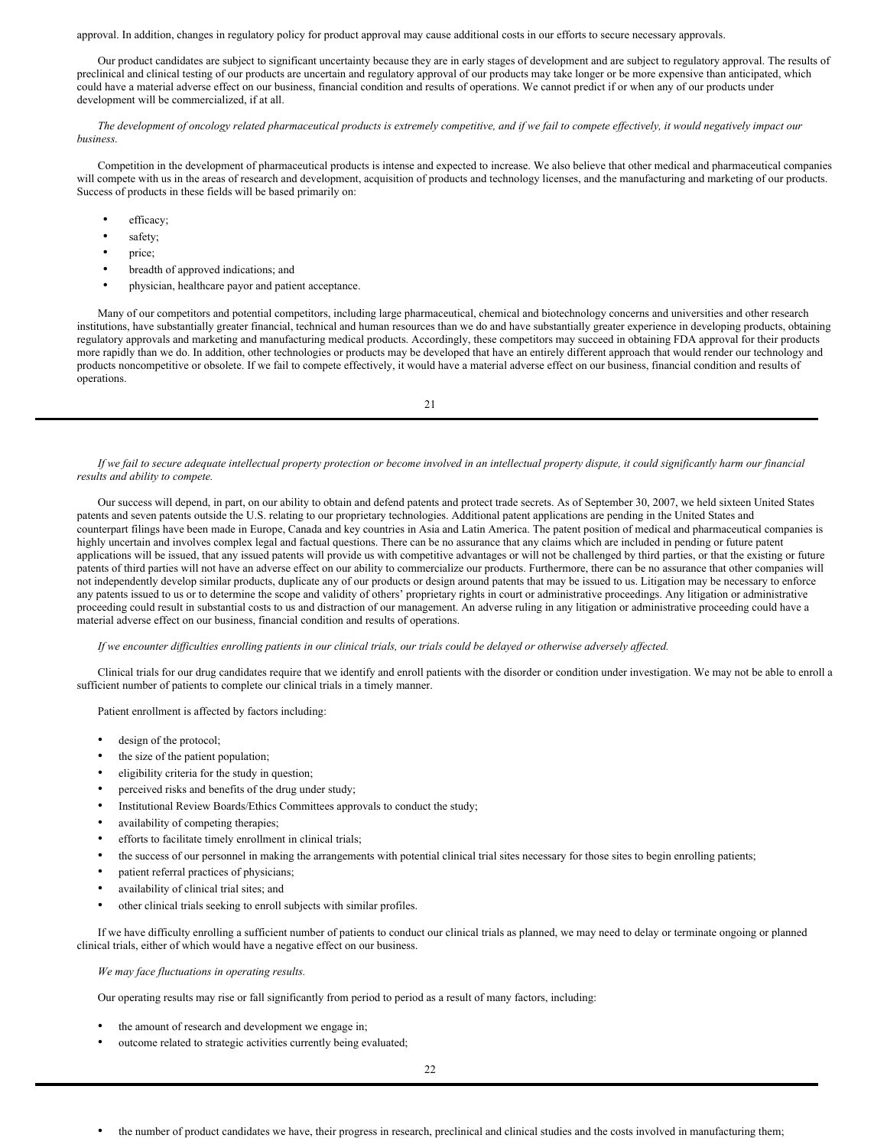approval. In addition, changes in regulatory policy for product approval may cause additional costs in our efforts to secure necessary approvals.

Our product candidates are subject to significant uncertainty because they are in early stages of development and are subject to regulatory approval. The results of preclinical and clinical testing of our products are uncertain and regulatory approval of our products may take longer or be more expensive than anticipated, which could have a material adverse effect on our business, financial condition and results of operations. We cannot predict if or when any of our products under development will be commercialized, if at all.

The development of oncology related pharmaceutical products is extremely competitive, and if we fail to compete effectively, it would negatively impact our *business.*

Competition in the development of pharmaceutical products is intense and expected to increase. We also believe that other medical and pharmaceutical companies will compete with us in the areas of research and development, acquisition of products and technology licenses, and the manufacturing and marketing of our products. Success of products in these fields will be based primarily on:

- efficacy;
- safety:
- price;
- breadth of approved indications; and
- physician, healthcare payor and patient acceptance.

Many of our competitors and potential competitors, including large pharmaceutical, chemical and biotechnology concerns and universities and other research institutions, have substantially greater financial, technical and human resources than we do and have substantially greater experience in developing products, obtaining regulatory approvals and marketing and manufacturing medical products. Accordingly, these competitors may succeed in obtaining FDA approval for their products more rapidly than we do. In addition, other technologies or products may be developed that have an entirely different approach that would render our technology and products noncompetitive or obsolete. If we fail to compete effectively, it would have a material adverse effect on our business, financial condition and results of operations.

21

If we fail to secure adequate intellectual property protection or become involved in an intellectual property dispute, it could significantly harm our financial *results and ability to compete.*

Our success will depend, in part, on our ability to obtain and defend patents and protect trade secrets. As of September 30, 2007, we held sixteen United States patents and seven patents outside the U.S. relating to our proprietary technologies. Additional patent applications are pending in the United States and counterpart filings have been made in Europe, Canada and key countries in Asia and Latin America. The patent position of medical and pharmaceutical companies is highly uncertain and involves complex legal and factual questions. There can be no assurance that any claims which are included in pending or future patent applications will be issued, that any issued patents will provide us with competitive advantages or will not be challenged by third parties, or that the existing or future patents of third parties will not have an adverse effect on our ability to commercialize our products. Furthermore, there can be no assurance that other companies will not independently develop similar products, duplicate any of our products or design around patents that may be issued to us. Litigation may be necessary to enforce any patents issued to us or to determine the scope and validity of others' proprietary rights in court or administrative proceedings. Any litigation or administrative proceeding could result in substantial costs to us and distraction of our management. An adverse ruling in any litigation or administrative proceeding could have a material adverse effect on our business, financial condition and results of operations.

#### If we encounter difficulties enrolling patients in our clinical trials, our trials could be delayed or otherwise adversely affected.

Clinical trials for our drug candidates require that we identify and enroll patients with the disorder or condition under investigation. We may not be able to enroll a sufficient number of patients to complete our clinical trials in a timely manner.

Patient enrollment is affected by factors including:

- design of the protocol;
- the size of the patient population;
- eligibility criteria for the study in question;
- perceived risks and benefits of the drug under study;
- Institutional Review Boards/Ethics Committees approvals to conduct the study;
- availability of competing therapies;
- efforts to facilitate timely enrollment in clinical trials;
- the success of our personnel in making the arrangements with potential clinical trial sites necessary for those sites to begin enrolling patients;
- patient referral practices of physicians;
- availability of clinical trial sites; and
- other clinical trials seeking to enroll subjects with similar profiles.

If we have difficulty enrolling a sufficient number of patients to conduct our clinical trials as planned, we may need to delay or terminate ongoing or planned clinical trials, either of which would have a negative effect on our business.

*We may face fluctuations in operating results.*

Our operating results may rise or fall significantly from period to period as a result of many factors, including:

- the amount of research and development we engage in;
- outcome related to strategic activities currently being evaluated;

• the number of product candidates we have, their progress in research, preclinical and clinical studies and the costs involved in manufacturing them;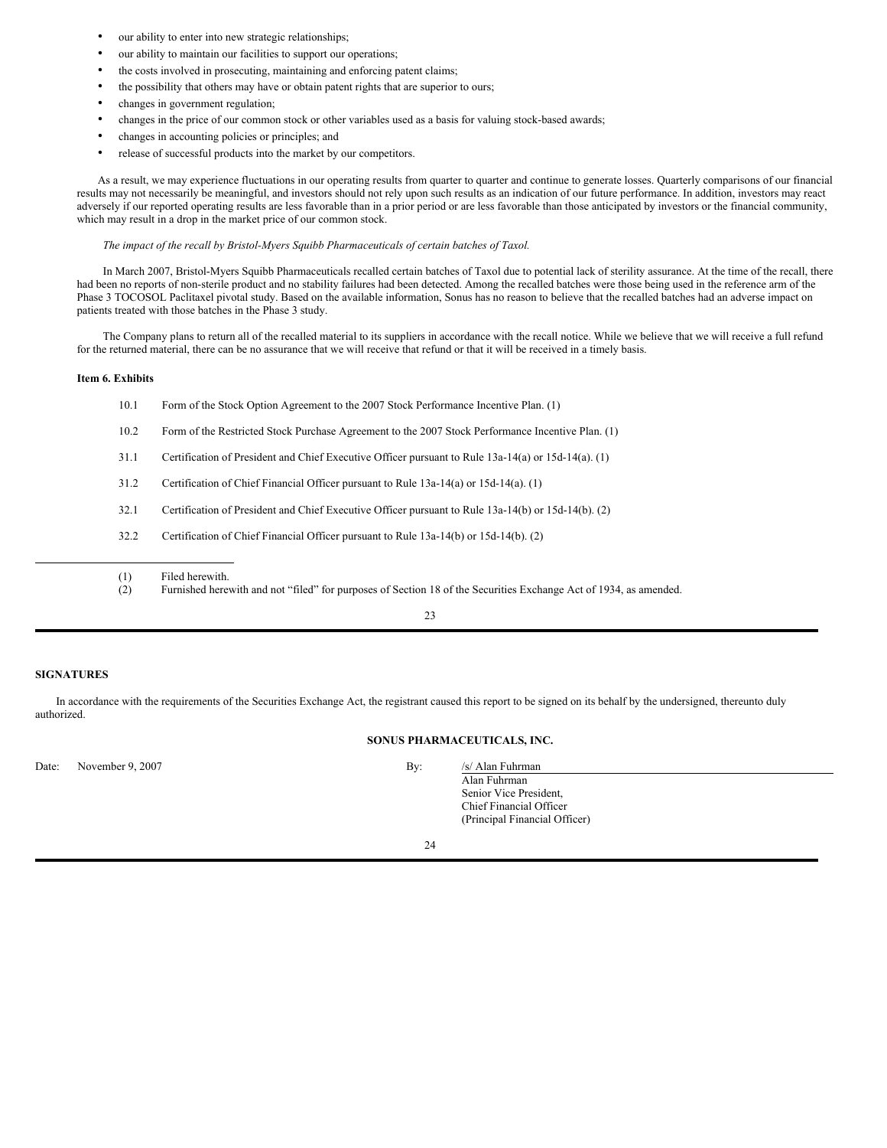- our ability to enter into new strategic relationships;
- our ability to maintain our facilities to support our operations;
- the costs involved in prosecuting, maintaining and enforcing patent claims;
- the possibility that others may have or obtain patent rights that are superior to ours;
- changes in government regulation;
- changes in the price of our common stock or other variables used as a basis for valuing stock-based awards;
- changes in accounting policies or principles; and
- release of successful products into the market by our competitors.

As a result, we may experience fluctuations in our operating results from quarter to quarter and continue to generate losses. Quarterly comparisons of our financial results may not necessarily be meaningful, and investors should not rely upon such results as an indication of our future performance. In addition, investors may react adversely if our reported operating results are less favorable than in a prior period or are less favorable than those anticipated by investors or the financial community, which may result in a drop in the market price of our common stock.

*The impact of the recall by Bristol-Myers Squibb Pharmaceuticals of certain batches of Taxol.*

In March 2007, Bristol-Myers Squibb Pharmaceuticals recalled certain batches of Taxol due to potential lack of sterility assurance. At the time of the recall, there had been no reports of non-sterile product and no stability failures had been detected. Among the recalled batches were those being used in the reference arm of the Phase 3 TOCOSOL Paclitaxel pivotal study. Based on the available information, Sonus has no reason to believe that the recalled batches had an adverse impact on patients treated with those batches in the Phase 3 study.

The Company plans to return all of the recalled material to its suppliers in accordance with the recall notice. While we believe that we will receive a full refund for the returned material, there can be no assurance that we will receive that refund or that it will be received in a timely basis.

### **Item 6. Exhibits**

- <span id="page-12-0"></span>10.1 Form of the Stock Option Agreement to the 2007 Stock Performance Incentive Plan. (1)
- 10.2 Form of the Restricted Stock Purchase Agreement to the 2007 Stock Performance Incentive Plan. (1)
- 31.1 Certification of President and Chief Executive Officer pursuant to Rule 13a-14(a) or 15d-14(a). (1)
- 31.2 Certification of Chief Financial Officer pursuant to Rule 13a-14(a) or 15d-14(a). (1)
- 32.1 Certification of President and Chief Executive Officer pursuant to Rule 13a-14(b) or 15d-14(b). (2)
- 32.2 Certification of Chief Financial Officer pursuant to Rule 13a-14(b) or 15d-14(b). (2)
- (1) Filed herewith.<br>(2) Furnished here
- Furnished herewith and not "filed" for purposes of Section 18 of the Securities Exchange Act of 1934, as amended.

## 23

## **SIGNATURES**

In accordance with the requirements of the Securities Exchange Act, the registrant caused this report to be signed on its behalf by the undersigned, thereunto duly authorized.

## **SONUS PHARMACEUTICALS, INC.**

Date: November 9, 2007 By: /s/ Alan Fuhrman

Alan Fuhrman Senior Vice President, Chief Financial Officer (Principal Financial Officer)

### 24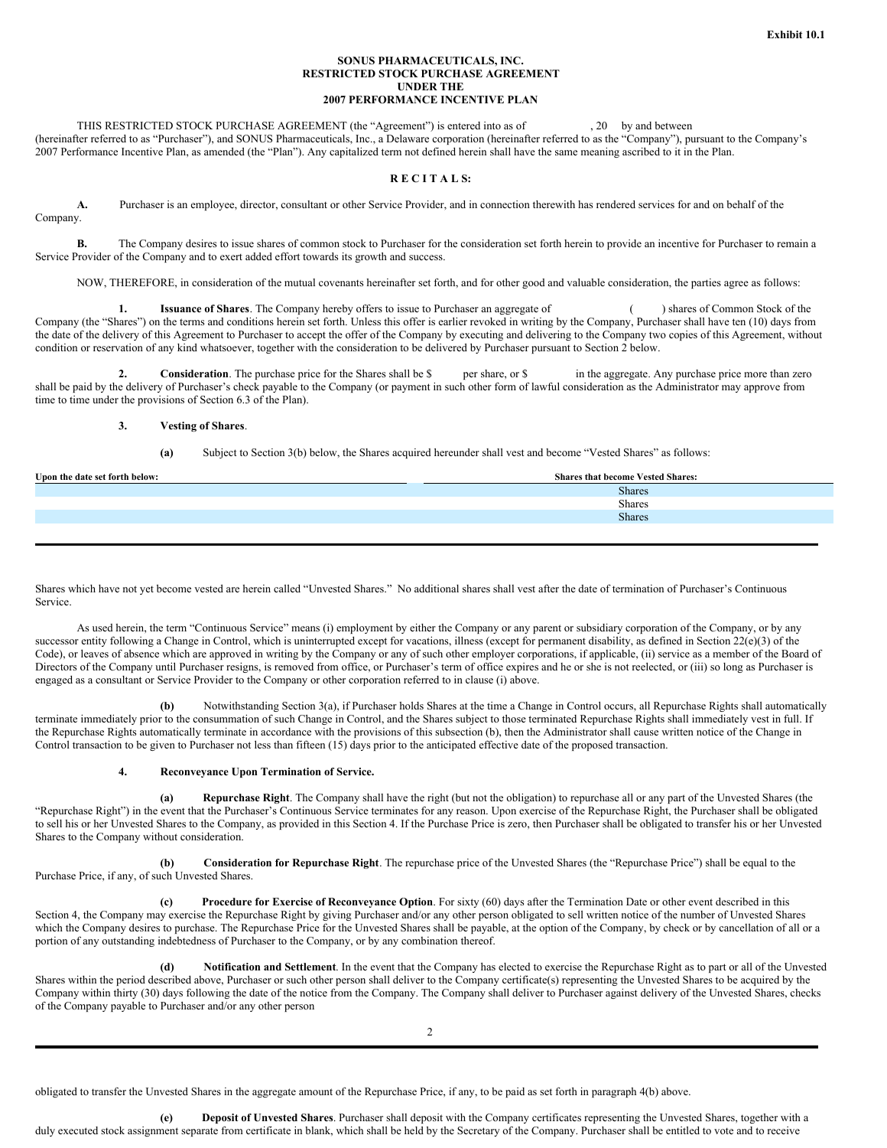#### **SONUS PHARMACEUTICALS, INC. RESTRICTED STOCK PURCHASE AGREEMENT UNDER THE 2007 PERFORMANCE INCENTIVE PLAN**

THIS RESTRICTED STOCK PURCHASE AGREEMENT (the "Agreement") is entered into as of  $, 20$  by and between (hereinafter referred to as "Purchaser"), and SONUS Pharmaceuticals, Inc., a Delaware corporation (hereinafter referred to as the "Company"), pursuant to the Company's 2007 Performance Incentive Plan, as amended (the "Plan"). Any capitalized term not defined herein shall have the same meaning ascribed to it in the Plan.

### **R E C I T A L S:**

**A.** Purchaser is an employee, director, consultant or other Service Provider, and in connection therewith has rendered services for and on behalf of the Company.

**B.** The Company desires to issue shares of common stock to Purchaser for the consideration set forth herein to provide an incentive for Purchaser to remain a Service Provider of the Company and to exert added effort towards its growth and success.

NOW, THEREFORE, in consideration of the mutual covenants hereinafter set forth, and for other good and valuable consideration, the parties agree as follows:

**1. Issuance of Shares**. The Company hereby offers to issue to Purchaser an aggregate of ( ) shares of Common Stock of the Company (the "Shares") on the terms and conditions herein set forth. Unless this offer is earlier revoked in writing by the Company, Purchaser shall have ten (10) days from the date of the delivery of this Agreement to Purchaser to accept the offer of the Company by executing and delivering to the Company two copies of this Agreement, without condition or reservation of any kind whatsoever, together with the consideration to be delivered by Purchaser pursuant to Section 2 below.

**2. <b>Consideration**. The purchase price for the Shares shall be \$ per share, or \$ in the aggregate. Any purchase price more than zero shall be paid by the delivery of Purchaser's check payable to the Company (or payment in such other form of lawful consideration as the Administrator may approve from time to time under the provisions of Section 6.3 of the Plan).

#### **3. Vesting of Shares**.

**(a)** Subject to Section 3(b) below, the Shares acquired hereunder shall vest and become "Vested Shares" as follows:

| Upon the date set forth below: | <b>Shares that become Vested Shares:</b> |
|--------------------------------|------------------------------------------|
|                                | <b>Shares</b>                            |
|                                | <b>Shares</b>                            |
|                                | <b>Shares</b>                            |
|                                |                                          |

Shares which have not yet become vested are herein called "Unvested Shares." No additional shares shall vest after the date of termination of Purchaser's Continuous Service.

As used herein, the term "Continuous Service" means (i) employment by either the Company or any parent or subsidiary corporation of the Company, or by any successor entity following a Change in Control, which is uninterrupted except for vacations, illness (except for permanent disability, as defined in Section 22(e)(3) of the Code), or leaves of absence which are approved in writing by the Company or any of such other employer corporations, if applicable, (ii) service as a member of the Board of Directors of the Company until Purchaser resigns, is removed from office, or Purchaser's term of office expires and he or she is not reelected, or (iii) so long as Purchaser is engaged as a consultant or Service Provider to the Company or other corporation referred to in clause (i) above.

**(b)** Notwithstanding Section 3(a), if Purchaser holds Shares at the time a Change in Control occurs, all Repurchase Rights shall automatically terminate immediately prior to the consummation of such Change in Control, and the Shares subject to those terminated Repurchase Rights shall immediately vest in full. If the Repurchase Rights automatically terminate in accordance with the provisions of this subsection (b), then the Administrator shall cause written notice of the Change in Control transaction to be given to Purchaser not less than fifteen (15) days prior to the anticipated effective date of the proposed transaction.

### **4. Reconveyance Upon Termination of Service.**

**(a) Repurchase Right**. The Company shall have the right (but not the obligation) to repurchase all or any part of the Unvested Shares (the "Repurchase Right") in the event that the Purchaser's Continuous Service terminates for any reason. Upon exercise of the Repurchase Right, the Purchaser shall be obligated to sell his or her Unvested Shares to the Company, as provided in this Section 4. If the Purchase Price is zero, then Purchaser shall be obligated to transfer his or her Unvested Shares to the Company without consideration.

**(b) Consideration for Repurchase Right**. The repurchase price of the Unvested Shares (the "Repurchase Price") shall be equal to the Purchase Price, if any, of such Unvested Shares.

**(c) Procedure for Exercise of Reconveyance Option**. For sixty (60) days after the Termination Date or other event described in this Section 4, the Company may exercise the Repurchase Right by giving Purchaser and/or any other person obligated to sell written notice of the number of Unvested Shares which the Company desires to purchase. The Repurchase Price for the Unvested Shares shall be payable, at the option of the Company, by check or by cancellation of all or a portion of any outstanding indebtedness of Purchaser to the Company, or by any combination thereof.

**(d) Notification and Settlement**. In the event that the Company has elected to exercise the Repurchase Right as to part or all of the Unvested Shares within the period described above, Purchaser or such other person shall deliver to the Company certificate(s) representing the Unvested Shares to be acquired by the Company within thirty (30) days following the date of the notice from the Company. The Company shall deliver to Purchaser against delivery of the Unvested Shares, checks of the Company payable to Purchaser and/or any other person

obligated to transfer the Unvested Shares in the aggregate amount of the Repurchase Price, if any, to be paid as set forth in paragraph 4(b) above.

**(e) Deposit of Unvested Shares**. Purchaser shall deposit with the Company certificates representing the Unvested Shares, together with a duly executed stock assignment separate from certificate in blank, which shall be held by the Secretary of the Company. Purchaser shall be entitled to vote and to receive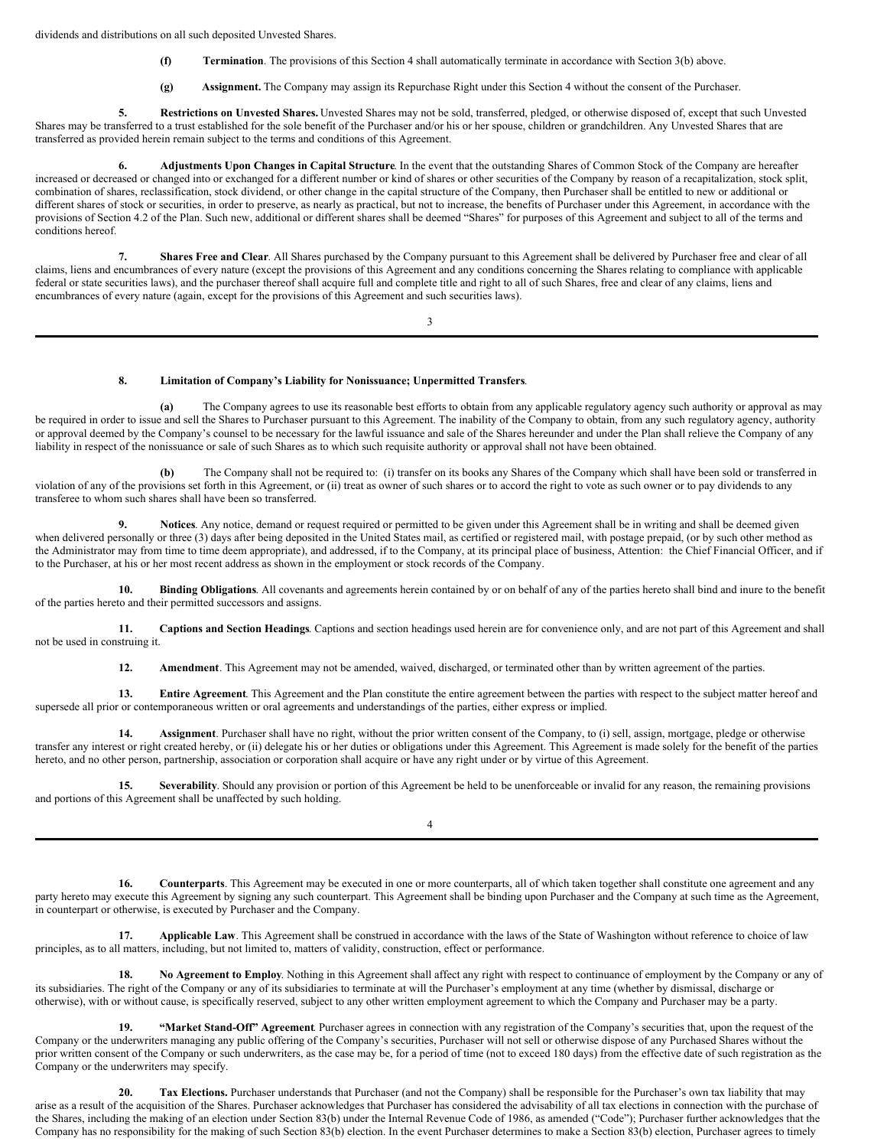dividends and distributions on all such deposited Unvested Shares.

- **(f) Termination**. The provisions of this Section 4 shall automatically terminate in accordance with Section 3(b) above.
- **(g) Assignment.** The Company may assign its Repurchase Right under this Section 4 without the consent of the Purchaser.

**5. Restrictions on Unvested Shares.** Unvested Shares may not be sold, transferred, pledged, or otherwise disposed of, except that such Unvested Shares may be transferred to a trust established for the sole benefit of the Purchaser and/or his or her spouse, children or grandchildren. Any Unvested Shares that are transferred as provided herein remain subject to the terms and conditions of this Agreement.

**6. Adjustments Upon Changes in Capital Structure**. In the event that the outstanding Shares of Common Stock of the Company are hereafter increased or decreased or changed into or exchanged for a different number or kind of shares or other securities of the Company by reason of a recapitalization, stock split, combination of shares, reclassification, stock dividend, or other change in the capital structure of the Company, then Purchaser shall be entitled to new or additional or different shares of stock or securities, in order to preserve, as nearly as practical, but not to increase, the benefits of Purchaser under this Agreement, in accordance with the provisions of Section 4.2 of the Plan. Such new, additional or different shares shall be deemed "Shares" for purposes of this Agreement and subject to all of the terms and conditions hereof.

**7. Shares Free and Clear**. All Shares purchased by the Company pursuant to this Agreement shall be delivered by Purchaser free and clear of all claims, liens and encumbrances of every nature (except the provisions of this Agreement and any conditions concerning the Shares relating to compliance with applicable federal or state securities laws), and the purchaser thereof shall acquire full and complete title and right to all of such Shares, free and clear of any claims, liens and encumbrances of every nature (again, except for the provisions of this Agreement and such securities laws).

3

**8. Limitation of Company's Liability for Nonissuance; Unpermitted Transfers**.

**(a)** The Company agrees to use its reasonable best efforts to obtain from any applicable regulatory agency such authority or approval as may be required in order to issue and sell the Shares to Purchaser pursuant to this Agreement. The inability of the Company to obtain, from any such regulatory agency, authority or approval deemed by the Company's counsel to be necessary for the lawful issuance and sale of the Shares hereunder and under the Plan shall relieve the Company of any liability in respect of the nonissuance or sale of such Shares as to which such requisite authority or approval shall not have been obtained.

**(b)** The Company shall not be required to: (i) transfer on its books any Shares of the Company which shall have been sold or transferred in violation of any of the provisions set forth in this Agreement, or (ii) treat as owner of such shares or to accord the right to vote as such owner or to pay dividends to any transferee to whom such shares shall have been so transferred.

Notices. Any notice, demand or request required or permitted to be given under this Agreement shall be in writing and shall be deemed given when delivered personally or three (3) days after being deposited in the United States mail, as certified or registered mail, with postage prepaid, (or by such other method as the Administrator may from time to time deem appropriate), and addressed, if to the Company, at its principal place of business, Attention: the Chief Financial Officer, and if to the Purchaser, at his or her most recent address as shown in the employment or stock records of the Company.

**10. Binding Obligations**. All covenants and agreements herein contained by or on behalf of any of the parties hereto shall bind and inure to the benefit of the parties hereto and their permitted successors and assigns.

**11. Captions and Section Headings**. Captions and section headings used herein are for convenience only, and are not part of this Agreement and shall not be used in construing it.

**12. Amendment**. This Agreement may not be amended, waived, discharged, or terminated other than by written agreement of the parties.

**13. Entire Agreement**. This Agreement and the Plan constitute the entire agreement between the parties with respect to the subject matter hereof and supersede all prior or contemporaneous written or oral agreements and understandings of the parties, either express or implied.

**14. Assignment**. Purchaser shall have no right, without the prior written consent of the Company, to (i) sell, assign, mortgage, pledge or otherwise transfer any interest or right created hereby, or (ii) delegate his or her duties or obligations under this Agreement. This Agreement is made solely for the benefit of the parties hereto, and no other person, partnership, association or corporation shall acquire or have any right under or by virtue of this Agreement.

**15. Severability**. Should any provision or portion of this Agreement be held to be unenforceable or invalid for any reason, the remaining provisions and portions of this Agreement shall be unaffected by such holding.

4

**16. Counterparts**. This Agreement may be executed in one or more counterparts, all of which taken together shall constitute one agreement and any party hereto may execute this Agreement by signing any such counterpart. This Agreement shall be binding upon Purchaser and the Company at such time as the Agreement, in counterpart or otherwise, is executed by Purchaser and the Company.

**17. Applicable Law**. This Agreement shall be construed in accordance with the laws of the State of Washington without reference to choice of law principles, as to all matters, including, but not limited to, matters of validity, construction, effect or performance.

**18. No Agreement to Employ**. Nothing in this Agreement shall affect any right with respect to continuance of employment by the Company or any of its subsidiaries. The right of the Company or any of its subsidiaries to terminate at will the Purchaser's employment at any time (whether by dismissal, discharge or otherwise), with or without cause, is specifically reserved, subject to any other written employment agreement to which the Company and Purchaser may be a party.

**19. "Market Stand-Off" Agreement**. Purchaser agrees in connection with any registration of the Company's securities that, upon the request of the Company or the underwriters managing any public offering of the Company's securities, Purchaser will not sell or otherwise dispose of any Purchased Shares without the prior written consent of the Company or such underwriters, as the case may be, for a period of time (not to exceed 180 days) from the effective date of such registration as the Company or the underwriters may specify.

**20. Tax Elections.** Purchaser understands that Purchaser (and not the Company) shall be responsible for the Purchaser's own tax liability that may arise as a result of the acquisition of the Shares. Purchaser acknowledges that Purchaser has considered the advisability of all tax elections in connection with the purchase of the Shares, including the making of an election under Section 83(b) under the Internal Revenue Code of 1986, as amended ("Code"); Purchaser further acknowledges that the Company has no responsibility for the making of such Section 83(b) election. In the event Purchaser determines to make a Section 83(b) election, Purchaser agrees to timely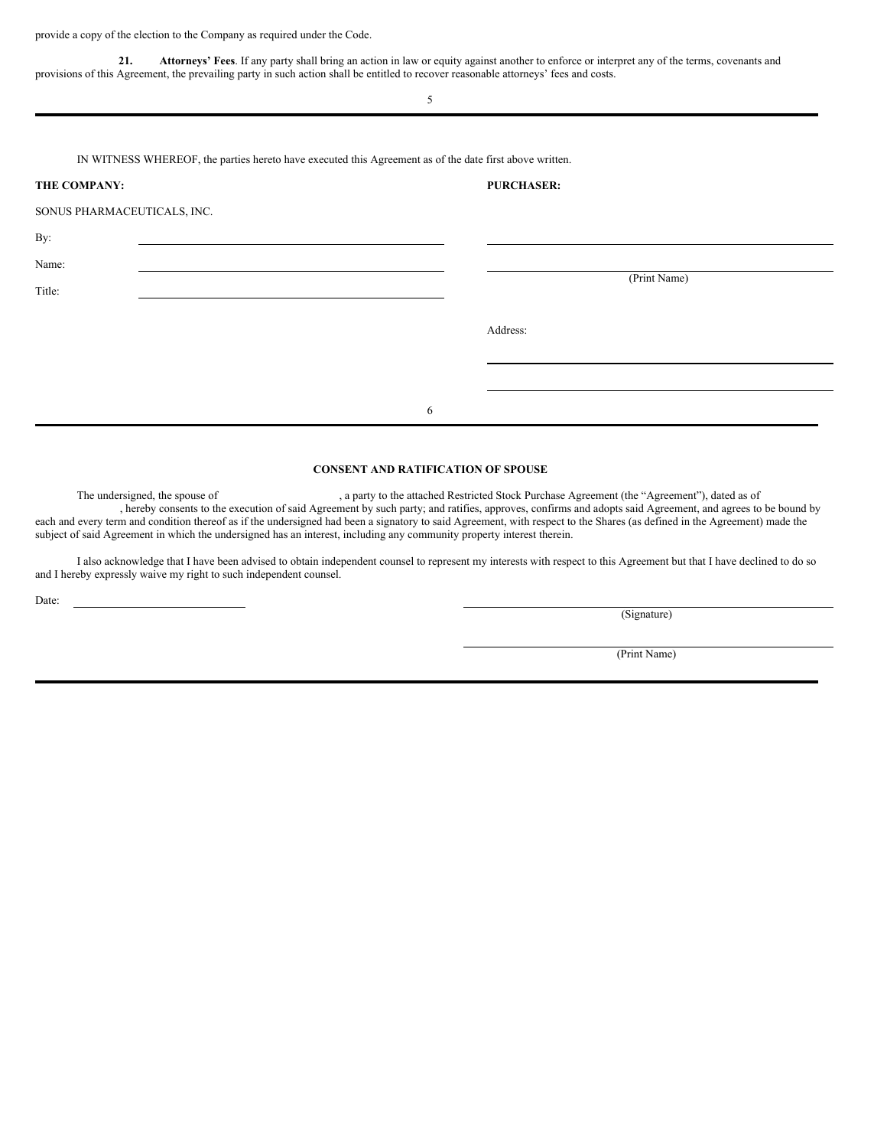provide a copy of the election to the Company as required under the Code.

**21. Attorneys' Fees**. If any party shall bring an action in law or equity against another to enforce or interpret any of the terms, covenants and provisions of this Agreement, the prevailing party in such action shall be entitled to recover reasonable attorneys' fees and costs.

| 5                                                                                                       |   |                   |  |  |  |
|---------------------------------------------------------------------------------------------------------|---|-------------------|--|--|--|
|                                                                                                         |   |                   |  |  |  |
| IN WITNESS WHEREOF, the parties hereto have executed this Agreement as of the date first above written. |   |                   |  |  |  |
| THE COMPANY:                                                                                            |   | <b>PURCHASER:</b> |  |  |  |
| SONUS PHARMACEUTICALS, INC.                                                                             |   |                   |  |  |  |
| By:                                                                                                     |   |                   |  |  |  |
| Name:                                                                                                   |   |                   |  |  |  |
| Title:                                                                                                  |   | (Print Name)      |  |  |  |
|                                                                                                         |   |                   |  |  |  |
|                                                                                                         |   | Address:          |  |  |  |
|                                                                                                         |   |                   |  |  |  |
|                                                                                                         |   |                   |  |  |  |
|                                                                                                         | 6 |                   |  |  |  |

## **CONSENT AND RATIFICATION OF SPOUSE**

The undersigned, the spouse of , a party to the attached Restricted Stock Purchase Agreement (the "Agreement"), dated as of , hereby consents to the execution of said Agreement by such party; and ratifies, approves, confirms and adopts said Agreement, and agrees to be bound by each and every term and condition thereof as if the undersigned had been a signatory to said Agreement, with respect to the Shares (as defined in the Agreement) made the subject of said Agreement in which the undersigned has an interest, including any community property interest therein.

I also acknowledge that I have been advised to obtain independent counsel to represent my interests with respect to this Agreement but that I have declined to do so and I hereby expressly waive my right to such independent counsel.

Date:

(Signature)

(Print Name)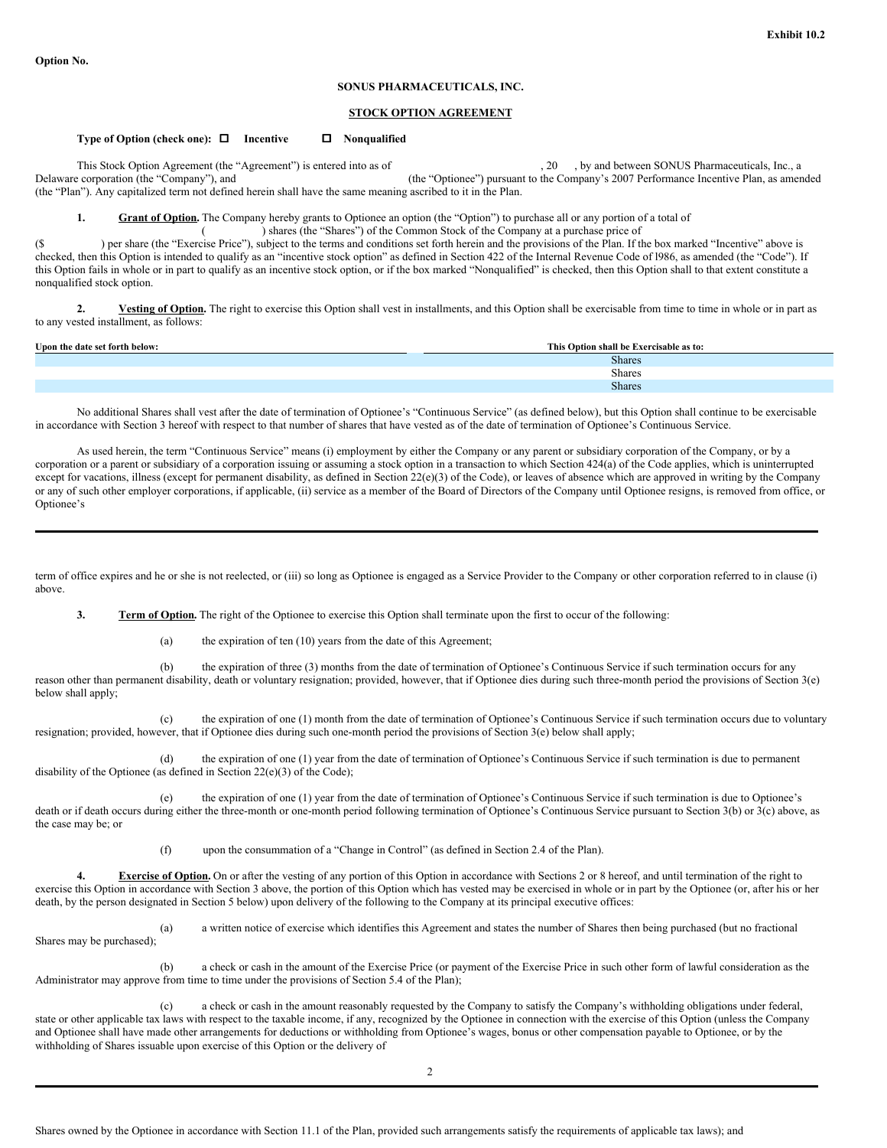## **SONUS PHARMACEUTICALS, INC.**

### **STOCK OPTION AGREEMENT**

### **Type of Option (check one):** o **Incentive** o **Nonqualified**

This Stock Option Agreement (the "Agreement") is entered into as of , 20, by and between SONUS Pharmaceuticals, Inc., a Delaware corporation (the "Company"), and (the "Optionee") pursuant to the Company's 2007 Performance Incentive Plan, as amended (the "Plan"). Any capitalized term not defined herein shall have the same meaning ascribed to it in the Plan.

**1. Grant of Option.** The Company hereby grants to Optionee an option (the "Option") to purchase all or any portion of a total of

( ) shares (the "Shares") of the Common Stock of the Company at a purchase price of

(\$ ) per share (the "Exercise Price"), subject to the terms and conditions set forth herein and the provisions of the Plan. If the box marked "Incentive" above is checked, then this Option is intended to qualify as an "incentive stock option" as defined in Section 422 of the Internal Revenue Code of l986, as amended (the "Code"). If this Option fails in whole or in part to qualify as an incentive stock option, or if the box marked "Nonqualified" is checked, then this Option shall to that extent constitute a nonqualified stock option.

**2. Vesting of Option.** The right to exercise this Option shall vest in installments, and this Option shall be exercisable from time to time in whole or in part as to any vested installment, as follows:

| Upon the date set forth below: | This Option shall be Exercisable as to: |
|--------------------------------|-----------------------------------------|
|                                | <b>Shares</b>                           |
|                                | Shares                                  |
|                                | <b>Shares</b>                           |

No additional Shares shall vest after the date of termination of Optionee's "Continuous Service" (as defined below), but this Option shall continue to be exercisable in accordance with Section 3 hereof with respect to that number of shares that have vested as of the date of termination of Optionee's Continuous Service.

As used herein, the term "Continuous Service" means (i) employment by either the Company or any parent or subsidiary corporation of the Company, or by a corporation or a parent or subsidiary of a corporation issuing or assuming a stock option in a transaction to which Section 424(a) of the Code applies, which is uninterrupted except for vacations, illness (except for permanent disability, as defined in Section 22(e)(3) of the Code), or leaves of absence which are approved in writing by the Company or any of such other employer corporations, if applicable, (ii) service as a member of the Board of Directors of the Company until Optionee resigns, is removed from office, or Optionee's

term of office expires and he or she is not reelected, or (iii) so long as Optionee is engaged as a Service Provider to the Company or other corporation referred to in clause (i) above.

**3. Term of Option.** The right of the Optionee to exercise this Option shall terminate upon the first to occur of the following:

(a) the expiration of ten (10) years from the date of this Agreement;

(b) the expiration of three (3) months from the date of termination of Optionee's Continuous Service if such termination occurs for any reason other than permanent disability, death or voluntary resignation; provided, however, that if Optionee dies during such three-month period the provisions of Section 3(e) below shall apply;

(c) the expiration of one (1) month from the date of termination of Optionee's Continuous Service if such termination occurs due to voluntary resignation; provided, however, that if Optionee dies during such one-month period the provisions of Section 3(e) below shall apply;

(d) the expiration of one (1) year from the date of termination of Optionee's Continuous Service if such termination is due to permanent disability of the Optionee (as defined in Section 22(e)(3) of the Code);

(e) the expiration of one (1) year from the date of termination of Optionee's Continuous Service if such termination is due to Optionee's death or if death occurs during either the three-month or one-month period following termination of Optionee's Continuous Service pursuant to Section 3(b) or 3(c) above, as the case may be; or

(f) upon the consummation of a "Change in Control" (as defined in Section 2.4 of the Plan).

4. **Exercise of Option.** On or after the vesting of any portion of this Option in accordance with Sections 2 or 8 hereof, and until termination of the right to exercise this Option in accordance with Section 3 above, the portion of this Option which has vested may be exercised in whole or in part by the Optionee (or, after his or her death, by the person designated in Section 5 below) upon delivery of the following to the Company at its principal executive offices:

(a) a written notice of exercise which identifies this Agreement and states the number of Shares then being purchased (but no fractional Shares may be purchased);

(b) a check or cash in the amount of the Exercise Price (or payment of the Exercise Price in such other form of lawful consideration as the Administrator may approve from time to time under the provisions of Section 5.4 of the Plan);

(c) a check or cash in the amount reasonably requested by the Company to satisfy the Company's withholding obligations under federal, state or other applicable tax laws with respect to the taxable income, if any, recognized by the Optionee in connection with the exercise of this Option (unless the Company and Optionee shall have made other arrangements for deductions or withholding from Optionee's wages, bonus or other compensation payable to Optionee, or by the withholding of Shares issuable upon exercise of this Option or the delivery of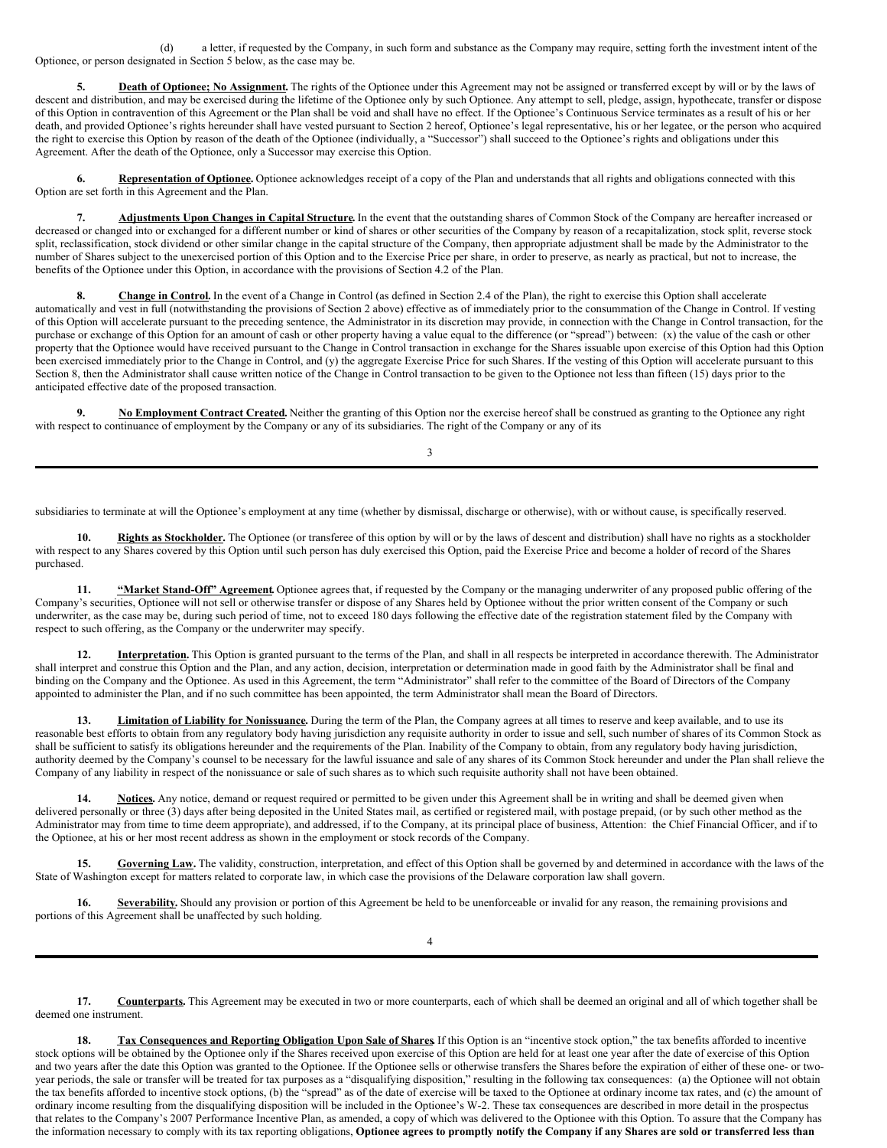(d) a letter, if requested by the Company, in such form and substance as the Company may require, setting forth the investment intent of the Optionee, or person designated in Section 5 below, as the case may be.

**5. Death of Optionee; No Assignment.** The rights of the Optionee under this Agreement may not be assigned or transferred except by will or by the laws of descent and distribution, and may be exercised during the lifetime of the Optionee only by such Optionee. Any attempt to sell, pledge, assign, hypothecate, transfer or dispose of this Option in contravention of this Agreement or the Plan shall be void and shall have no effect. If the Optionee's Continuous Service terminates as a result of his or her death, and provided Optionee's rights hereunder shall have vested pursuant to Section 2 hereof, Optionee's legal representative, his or her legatee, or the person who acquired the right to exercise this Option by reason of the death of the Optionee (individually, a "Successor") shall succeed to the Optionee's rights and obligations under this Agreement. After the death of the Optionee, only a Successor may exercise this Option.

**6. Representation of Optionee.** Optionee acknowledges receipt of a copy of the Plan and understands that all rights and obligations connected with this Option are set forth in this Agreement and the Plan.

**7. Adjustments Upon Changes in Capital Structure.** In the event that the outstanding shares of Common Stock of the Company are hereafter increased or decreased or changed into or exchanged for a different number or kind of shares or other securities of the Company by reason of a recapitalization, stock split, reverse stock split, reclassification, stock dividend or other similar change in the capital structure of the Company, then appropriate adjustment shall be made by the Administrator to the number of Shares subject to the unexercised portion of this Option and to the Exercise Price per share, in order to preserve, as nearly as practical, but not to increase, the benefits of the Optionee under this Option, in accordance with the provisions of Section 4.2 of the Plan.

**8. Change in Control.** In the event of a Change in Control (as defined in Section 2.4 of the Plan), the right to exercise this Option shall accelerate automatically and vest in full (notwithstanding the provisions of Section 2 above) effective as of immediately prior to the consummation of the Change in Control. If vesting of this Option will accelerate pursuant to the preceding sentence, the Administrator in its discretion may provide, in connection with the Change in Control transaction, for the purchase or exchange of this Option for an amount of cash or other property having a value equal to the difference (or "spread") between: (x) the value of the cash or other property that the Optionee would have received pursuant to the Change in Control transaction in exchange for the Shares issuable upon exercise of this Option had this Option been exercised immediately prior to the Change in Control, and (y) the aggregate Exercise Price for such Shares. If the vesting of this Option will accelerate pursuant to this Section 8, then the Administrator shall cause written notice of the Change in Control transaction to be given to the Optionee not less than fifteen (15) days prior to the anticipated effective date of the proposed transaction.

**9. No Employment Contract Created.** Neither the granting of this Option nor the exercise hereof shall be construed as granting to the Optionee any right with respect to continuance of employment by the Company or any of its subsidiaries. The right of the Company or any of its

|   |         | ۰, |  |
|---|---------|----|--|
| × | I<br>۰. |    |  |
|   |         |    |  |

subsidiaries to terminate at will the Optionee's employment at any time (whether by dismissal, discharge or otherwise), with or without cause, is specifically reserved.

10. **Rights as Stockholder**. The Optionee (or transferee of this option by will or by the laws of descent and distribution) shall have no rights as a stockholder with respect to any Shares covered by this Option until such person has duly exercised this Option, paid the Exercise Price and become a holder of record of the Shares purchased.

**11. "Market Stand-Off" Agreement.** Optionee agrees that, if requested by the Company or the managing underwriter of any proposed public offering of the Company's securities, Optionee will not sell or otherwise transfer or dispose of any Shares held by Optionee without the prior written consent of the Company or such underwriter, as the case may be, during such period of time, not to exceed 180 days following the effective date of the registration statement filed by the Company with respect to such offering, as the Company or the underwriter may specify.

12. **Interpretation**. This Option is granted pursuant to the terms of the Plan, and shall in all respects be interpreted in accordance therewith. The Administrator shall interpret and construe this Option and the Plan, and any action, decision, interpretation or determination made in good faith by the Administrator shall be final and binding on the Company and the Optionee. As used in this Agreement, the term "Administrator" shall refer to the committee of the Board of Directors of the Company appointed to administer the Plan, and if no such committee has been appointed, the term Administrator shall mean the Board of Directors.

**13. Limitation of Liability for Nonissuance.** During the term of the Plan, the Company agrees at all times to reserve and keep available, and to use its reasonable best efforts to obtain from any regulatory body having jurisdiction any requisite authority in order to issue and sell, such number of shares of its Common Stock as shall be sufficient to satisfy its obligations hereunder and the requirements of the Plan. Inability of the Company to obtain, from any regulatory body having jurisdiction, authority deemed by the Company's counsel to be necessary for the lawful issuance and sale of any shares of its Common Stock hereunder and under the Plan shall relieve the Company of any liability in respect of the nonissuance or sale of such shares as to which such requisite authority shall not have been obtained.

**14. Notices.** Any notice, demand or request required or permitted to be given under this Agreement shall be in writing and shall be deemed given when delivered personally or three (3) days after being deposited in the United States mail, as certified or registered mail, with postage prepaid, (or by such other method as the Administrator may from time to time deem appropriate), and addressed, if to the Company, at its principal place of business, Attention: the Chief Financial Officer, and if to the Optionee, at his or her most recent address as shown in the employment or stock records of the Company.

**15.** Governing Law. The validity, construction, interpretation, and effect of this Option shall be governed by and determined in accordance with the laws of the State of Washington except for matters related to corporate law, in which case the provisions of the Delaware corporation law shall govern.

**16. Severability.** Should any provision or portion of this Agreement be held to be unenforceable or invalid for any reason, the remaining provisions and portions of this Agreement shall be unaffected by such holding.

**17. Counterparts.** This Agreement may be executed in two or more counterparts, each of which shall be deemed an original and all of which together shall be deemed one instrument.

**18. Tax Consequences and Reporting Obligation Upon Sale of Shares.** If this Option is an "incentive stock option," the tax benefits afforded to incentive stock options will be obtained by the Optionee only if the Shares received upon exercise of this Option are held for at least one year after the date of exercise of this Option and two years after the date this Option was granted to the Optionee. If the Optionee sells or otherwise transfers the Shares before the expiration of either of these one- or twoyear periods, the sale or transfer will be treated for tax purposes as a "disqualifying disposition," resulting in the following tax consequences: (a) the Optionee will not obtain the tax benefits afforded to incentive stock options, (b) the "spread" as of the date of exercise will be taxed to the Optionee at ordinary income tax rates, and (c) the amount of ordinary income resulting from the disqualifying disposition will be included in the Optionee's W-2. These tax consequences are described in more detail in the prospectus that relates to the Company's 2007 Performance Incentive Plan, as amended, a copy of which was delivered to the Optionee with this Option. To assure that the Company has the information necessary to comply with its tax reporting obligations, Optionee agrees to promptly notify the Company if any Shares are sold or transferred less than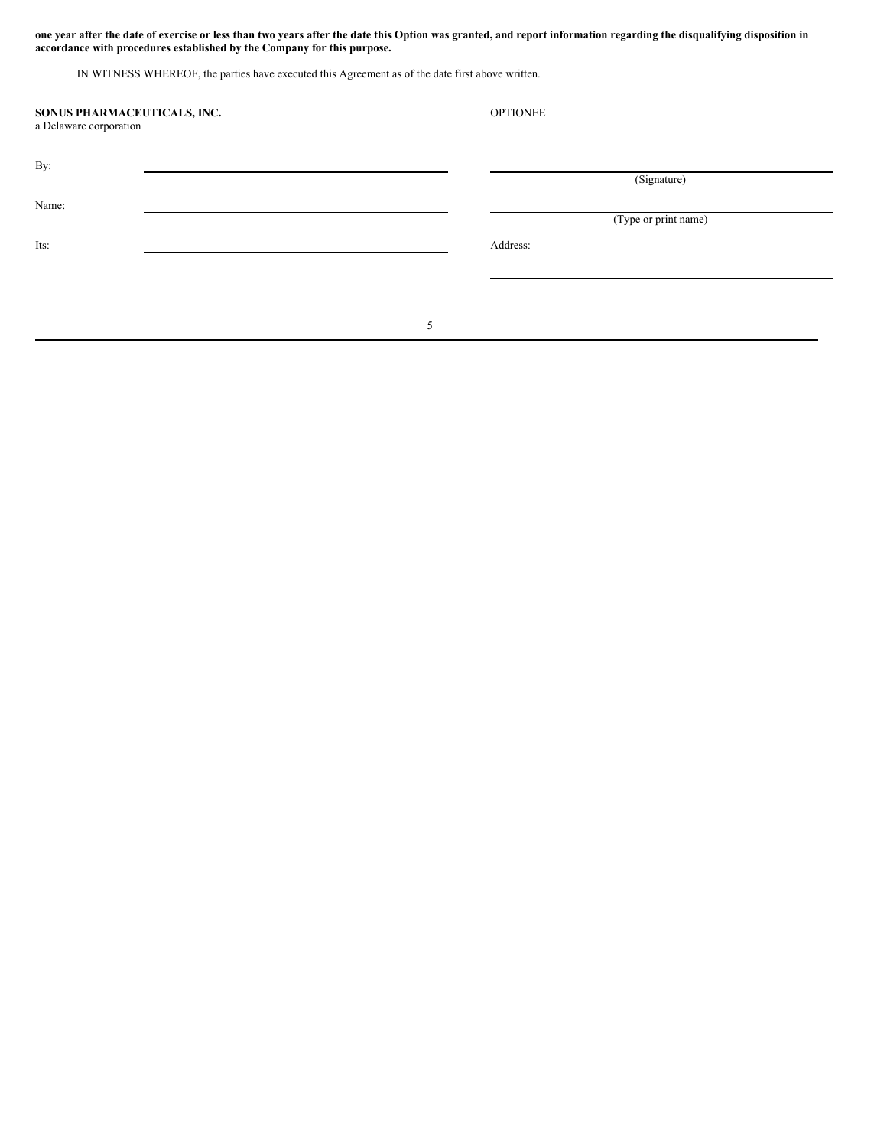one year after the date of exercise or less than two years after the date this Option was granted, and report information regarding the disqualifying disposition in **accordance with procedures established by the Company for this purpose.**

IN WITNESS WHEREOF, the parties have executed this Agreement as of the date first above written.

| SONUS PHARMACEUTICALS, INC.<br>a Delaware corporation | <b>OPTIONEE</b>      |
|-------------------------------------------------------|----------------------|
| By:                                                   | (Signature)          |
| Name:                                                 | (Type or print name) |
| Its:                                                  | Address:             |
|                                                       |                      |
| 5                                                     |                      |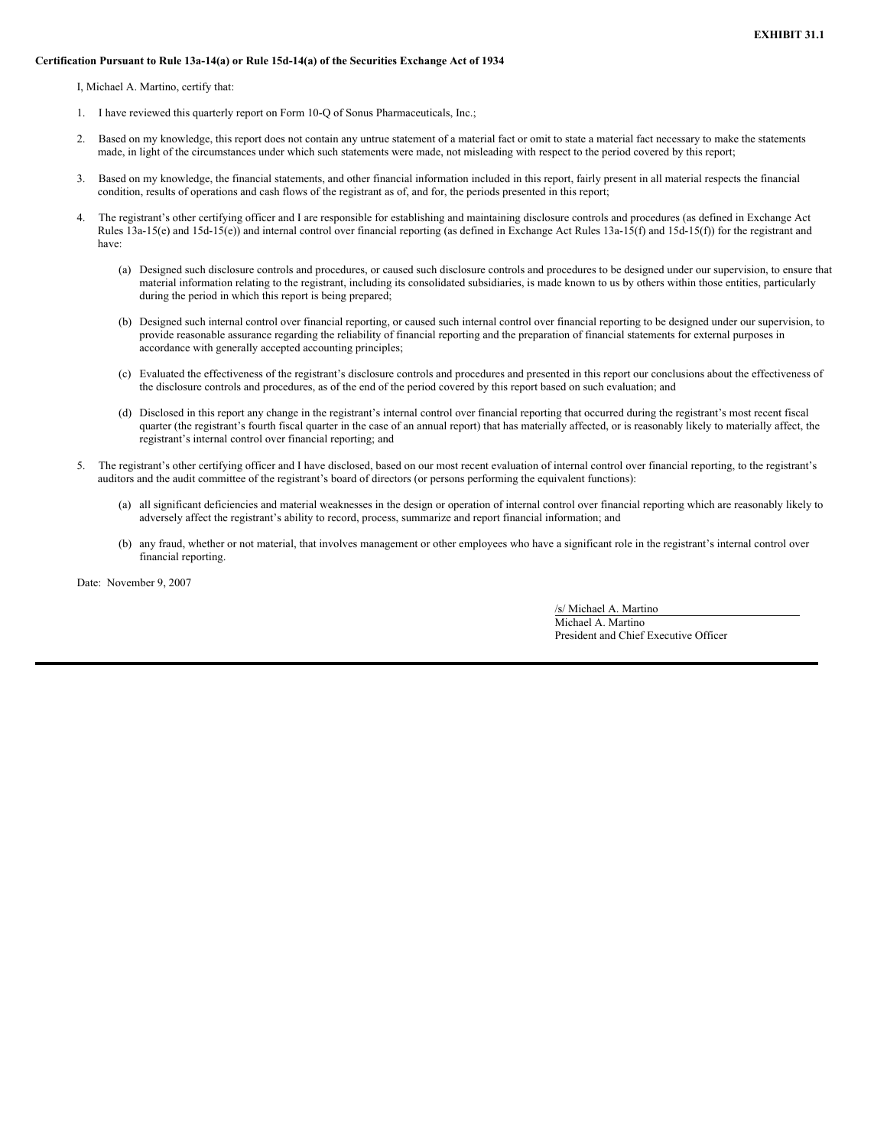### **Certification Pursuant to Rule 13a-14(a) or Rule 15d-14(a) of the Securities Exchange Act of 1934**

I, Michael A. Martino, certify that:

- 1. I have reviewed this quarterly report on Form 10-Q of Sonus Pharmaceuticals, Inc.;
- 2. Based on my knowledge, this report does not contain any untrue statement of a material fact or omit to state a material fact necessary to make the statements made, in light of the circumstances under which such statements were made, not misleading with respect to the period covered by this report;
- 3. Based on my knowledge, the financial statements, and other financial information included in this report, fairly present in all material respects the financial condition, results of operations and cash flows of the registrant as of, and for, the periods presented in this report;
- 4. The registrant's other certifying officer and I are responsible for establishing and maintaining disclosure controls and procedures (as defined in Exchange Act Rules 13a-15(e) and 15d-15(e)) and internal control over financial reporting (as defined in Exchange Act Rules 13a-15(f) and 15d-15(f)) for the registrant and have:
	- (a) Designed such disclosure controls and procedures, or caused such disclosure controls and procedures to be designed under our supervision, to ensure that material information relating to the registrant, including its consolidated subsidiaries, is made known to us by others within those entities, particularly during the period in which this report is being prepared;
	- (b) Designed such internal control over financial reporting, or caused such internal control over financial reporting to be designed under our supervision, to provide reasonable assurance regarding the reliability of financial reporting and the preparation of financial statements for external purposes in accordance with generally accepted accounting principles;
	- (c) Evaluated the effectiveness of the registrant's disclosure controls and procedures and presented in this report our conclusions about the effectiveness of the disclosure controls and procedures, as of the end of the period covered by this report based on such evaluation; and
	- (d) Disclosed in this report any change in the registrant's internal control over financial reporting that occurred during the registrant's most recent fiscal quarter (the registrant's fourth fiscal quarter in the case of an annual report) that has materially affected, or is reasonably likely to materially affect, the registrant's internal control over financial reporting; and
- 5. The registrant's other certifying officer and I have disclosed, based on our most recent evaluation of internal control over financial reporting, to the registrant's auditors and the audit committee of the registrant's board of directors (or persons performing the equivalent functions):
	- (a) all significant deficiencies and material weaknesses in the design or operation of internal control over financial reporting which are reasonably likely to adversely affect the registrant's ability to record, process, summarize and report financial information; and
	- (b) any fraud, whether or not material, that involves management or other employees who have a significant role in the registrant's internal control over financial reporting.

Date: November 9, 2007

/s/ Michael A. Martino Michael A. Martino President and Chief Executive Officer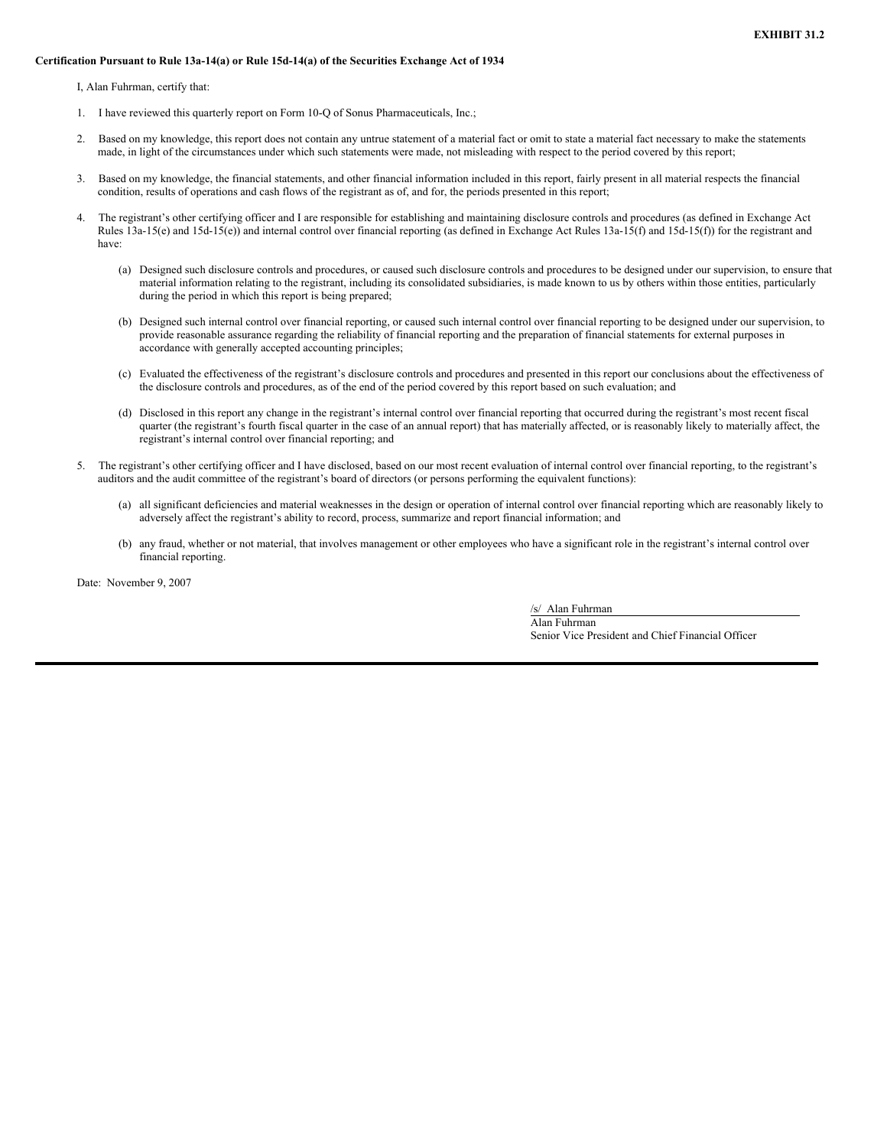### **Certification Pursuant to Rule 13a-14(a) or Rule 15d-14(a) of the Securities Exchange Act of 1934**

I, Alan Fuhrman, certify that:

- 1. I have reviewed this quarterly report on Form 10-Q of Sonus Pharmaceuticals, Inc.;
- 2. Based on my knowledge, this report does not contain any untrue statement of a material fact or omit to state a material fact necessary to make the statements made, in light of the circumstances under which such statements were made, not misleading with respect to the period covered by this report;
- 3. Based on my knowledge, the financial statements, and other financial information included in this report, fairly present in all material respects the financial condition, results of operations and cash flows of the registrant as of, and for, the periods presented in this report;
- 4. The registrant's other certifying officer and I are responsible for establishing and maintaining disclosure controls and procedures (as defined in Exchange Act Rules 13a-15(e) and 15d-15(e)) and internal control over financial reporting (as defined in Exchange Act Rules 13a-15(f) and 15d-15(f)) for the registrant and have:
	- (a) Designed such disclosure controls and procedures, or caused such disclosure controls and procedures to be designed under our supervision, to ensure that material information relating to the registrant, including its consolidated subsidiaries, is made known to us by others within those entities, particularly during the period in which this report is being prepared;
	- (b) Designed such internal control over financial reporting, or caused such internal control over financial reporting to be designed under our supervision, to provide reasonable assurance regarding the reliability of financial reporting and the preparation of financial statements for external purposes in accordance with generally accepted accounting principles;
	- (c) Evaluated the effectiveness of the registrant's disclosure controls and procedures and presented in this report our conclusions about the effectiveness of the disclosure controls and procedures, as of the end of the period covered by this report based on such evaluation; and
	- (d) Disclosed in this report any change in the registrant's internal control over financial reporting that occurred during the registrant's most recent fiscal quarter (the registrant's fourth fiscal quarter in the case of an annual report) that has materially affected, or is reasonably likely to materially affect, the registrant's internal control over financial reporting; and
- 5. The registrant's other certifying officer and I have disclosed, based on our most recent evaluation of internal control over financial reporting, to the registrant's auditors and the audit committee of the registrant's board of directors (or persons performing the equivalent functions):
	- (a) all significant deficiencies and material weaknesses in the design or operation of internal control over financial reporting which are reasonably likely to adversely affect the registrant's ability to record, process, summarize and report financial information; and
	- (b) any fraud, whether or not material, that involves management or other employees who have a significant role in the registrant's internal control over financial reporting.

Date: November 9, 2007

/s/ Alan Fuhrman Alan Fuhrman Senior Vice President and Chief Financial Officer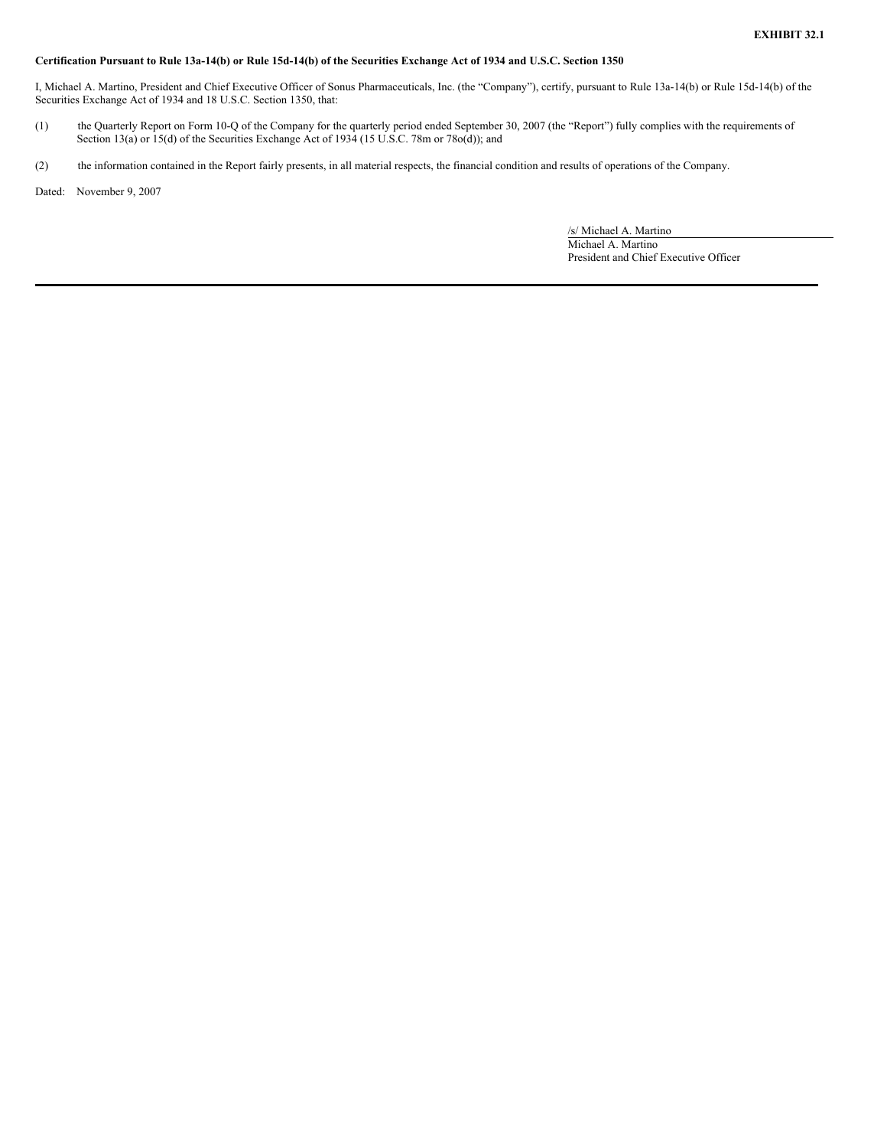## Certification Pursuant to Rule 13a-14(b) or Rule 15d-14(b) of the Securities Exchange Act of 1934 and U.S.C. Section 1350

I, Michael A. Martino, President and Chief Executive Officer of Sonus Pharmaceuticals, Inc. (the "Company"), certify, pursuant to Rule 13a-14(b) or Rule 15d-14(b) of the Securities Exchange Act of 1934 and 18 U.S.C. Section 1350, that:

- (1) the Quarterly Report on Form 10-Q of the Company for the quarterly period ended September 30, 2007 (the "Report") fully complies with the requirements of Section 13(a) or 15(d) of the Securities Exchange Act of 1934 (15 U.S.C. 78m or 78o(d)); and
- (2) the information contained in the Report fairly presents, in all material respects, the financial condition and results of operations of the Company.

Dated: November 9, 2007

/s/ Michael A. Martino Michael A. Martino President and Chief Executive Officer